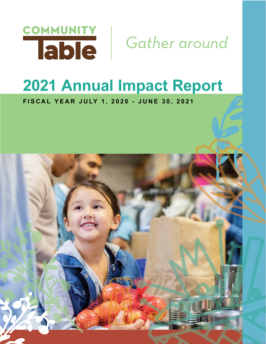

# **2021 Annual Impact Report**

**FISCAL YEAR JULY 1, 2020 - JUNE 30, 2021**

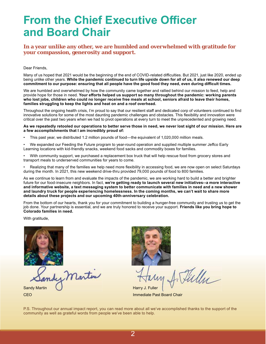### **From the Chief Executive Officer and Board Chair**

**In a year unlike any other, we are humbled and overwhelmed with gratitude for your compassion, generosity and support.**

#### Dear Friends,

Many of us hoped that 2021 would be the beginning of the end of COVID-related difficulties. But 2021, just like 2020, ended up being unlike other years. **While the pandemic continued to turn life upside down for all of us, it also renewed our deep commitment to our purpose: ensuring that all people have the good food they need, even during diffi cult times.** 

We are humbled and overwhelmed by how the community came together and rallied behind our mission to feed, help and provide hope for those in need. **Your eff orts helped us support so many throughout the pandemic: working parents who lost jobs, children who could no longer receive free meals at school, seniors afraid to leave their homes, families struggling to keep the lights and heat on and a roof overhead.**

Throughout the ongoing health crisis, I'm proud to say that our resilient staff and dedicated corp of volunteers continued to find innovative solutions for some of the most daunting pandemic challenges and obstacles. This flexibility and innovation were critical over the past two years when we had to pivot operations at every turn to meet the unprecedented and growing need.

#### **As we repeatedly retooled our operations to better serve those in need, we never lost sight of our mission. Here are a few accomplishments that I am incredibly proud of:**

- This past year, we distributed 1.2 million pounds of food—the equivalent of 1,020,000 million meals.
- We expanded our Feeding the Future program to year-round operation and supplied multiple summer Jeffco Early Learning locations with kid-friendly snacks, weekend food sacks and commodity boxes for families.
- With community support, we purchased a replacement box truck that will help rescue food from grocery stores and transport meals to underserved communities for years to come.

Realizing that many of the families we help need more flexibility in accessing food, we are now open on select Saturdays during the month. In 2021, this new weekend drive-thru provided 79,000 pounds of food to 800 families.

As we continue to learn from and evaluate the impacts of the pandemic, we are working hard to build a better and brighter future for our food-insecure neighbors. In fact, **we're getting ready to launch several new initiatives--a more interactive and informative website, a text messaging system to better communicate with families in need and a new shower and laundry truck for people experiencing homelessness. In the coming months, we can't wait to share more details about these projects and our upcoming 40th-anniversary celebration.**

From the bottom of our hearts, thank you for your commitment to building a hunger-free community and trusting us to get the job done. Your partnership is essential, and we are truly honored to receive your support. **Friends like you bring hope to Colorado families in need.** 

With gratitude,



mdy Martin Sandy Martin **Contract of the Contract of the Sandy Martin** Harry J. Fuller



Fielly

**CEO Immediate Past Board Chair** 

P.S. Throughout our annual impact report, you can read more about all we've accomplished thanks to the support of the community as well as grateful words from people we've been able to help.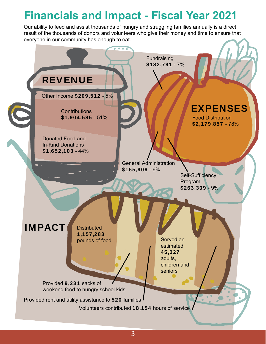# **Financials and Impact - Fiscal Year 2021**

Our ability to feed and assist thousands of hungry and struggling families annually is a direct result of the thousands of donors and volunteers who give their money and time to ensure that everyone in our community has enough to eat.

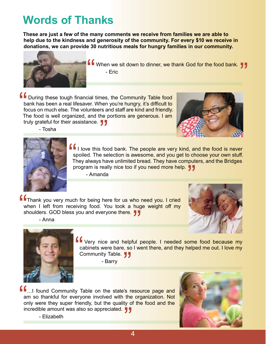### **Words of Thanks**

**These are just a few of the many comments we receive from families we are able to help due to the kindness and generosity of the community. For every \$10 we receive in donations, we can provide 30 nutritious meals for hungry families in our community.**



When we sit down to dinner, we thank God for the food bank. <mark>" ,"</mark><br>- Eric<br>-

 $\begin{array}{c} \mathbf{C} \\ \mathbf{b} \\ \text{for} \\ \mathbf{C} \end{array}$ During these tough financial times, the Community Table food bank has been a real lifesaver. When you're hungry, it's difficult to focus on much else. The volunteers and staff are kind and friendly. The food is well organized, and the portions are generous. I am truly grateful for their assistance.  $\blacksquare$ 





- Tosha

" I love this food bank. The people are very kind, and the food is never spoiled. The selection is awesome, and you get to choose your own stuff. They always have unlimited bread. They have computers, and the Bridges program is really nice too if you need more help.  $\blacksquare$ 

- Amanda

" Thank you very much for being here for us who need you. I cried when I left from receiving food. You took a huge weight off my shoulders. GOD bless you and everyone there.  $\blacksquare$ 





- Anna

" Very nice and helpful people. I needed some food because my cabinets were bare, so I went there, and they helped me out. I love my Community Table.  $\blacksquare$ 

- Barry

 $\frac{1}{2}$  and  $\frac{1}{2}$  in  $\frac{1}{2}$ ...I found Community Table on the state's resource page and am so thankful for everyone involved with the organization. Not only were they super friendly, but the quality of the food and the incredible amount was also so appreciated.  $\blacksquare$ 



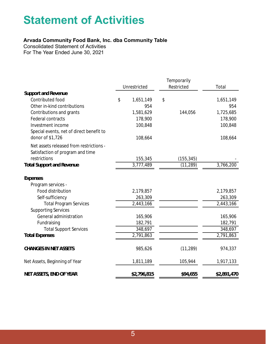### **Statement of Activities**

### **Arvada Community Food Bank, Inc. dba Community Table**

Consolidated Statement of Activities For The Year Ended June 30, 2021

|                                          |    |              |    | Temporarily |             |
|------------------------------------------|----|--------------|----|-------------|-------------|
|                                          |    | Unrestricted |    | Restricted  | Total       |
| <b>Support and Revenue</b>               |    |              |    |             |             |
| Contributed food                         | \$ | 1,651,149    | \$ |             | 1,651,149   |
| Other in-kind contributions              |    | 954          |    |             | 954         |
| Contributions and grants                 |    | 1,581,629    |    | 144,056     | 1,725,685   |
| <b>Federal contracts</b>                 |    | 178,900      |    |             | 178,900     |
| Investment income                        |    | 100,848      |    |             | 100,848     |
| Special events, net of direct benefit to |    |              |    |             |             |
| donor of \$1,726                         |    | 108,664      |    |             | 108,664     |
| Net assets released from restrictions -  |    |              |    |             |             |
| Satisfaction of program and time         |    |              |    |             |             |
| restrictions                             |    | 155,345      |    | (155, 345)  |             |
| <b>Total Support and Revenue</b>         |    | 3,777,489    |    | (11, 289)   | 3,766,200   |
| <b>Expenses</b>                          |    |              |    |             |             |
| Program services -                       |    |              |    |             |             |
| Food distribution                        |    | 2,179,857    |    |             | 2,179,857   |
| Self-sufficiency                         |    | 263,309      |    |             | 263,309     |
| <b>Total Program Services</b>            |    | 2,443,166    |    |             | 2,443,166   |
| <b>Supporting Services</b>               |    |              |    |             |             |
| General administration                   |    | 165,906      |    |             | 165,906     |
| Fundraising                              |    | 182,791      |    |             | 182,791     |
| <b>Total Support Services</b>            |    | 348,697      |    |             | 348,697     |
| <b>Total Expenses</b>                    |    | 2,791,863    |    |             | 2,791,863   |
| <b>CHANGES IN NET ASSETS</b>             |    | 985,626      |    | (11, 289)   | 974,337     |
| Net Assets, Beginning of Year            |    | 1,811,189    |    | 105,944     | 1,917,133   |
| <b>NET ASSETS, END OF YEAR</b>           |    | \$2,796,815  |    | \$94,655    | \$2,891,470 |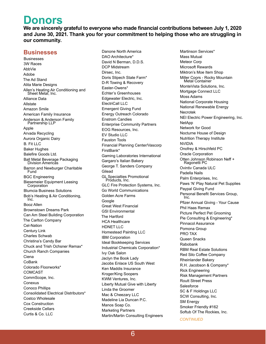### **Donors**

We are sincerely grateful to everyone who made financial contributions between July 1, 2020 **and June 30, 2021. Thank you for your commitment to helping those who are struggling in our community.** 

#### **Businesses**

Businesses 3W Races AbbVie Adobe The Ad Stand Alita Marie Designs Allen's Heating Air Conditioning and Sheet Metal, Inc. Alliance Data Allstate Amazon Smile American Family Insurance Anderson & Anderson Family Partnership LLP Apple Arvada Recycling Aurora Organic Dairy B. Fit LLC Baker Hughes Balefire Goods Ltd. Ball Metal Beverage Packaging Division Americas Barron and Newburger Charitable Fund BGC Engineering Biesemeier Equipment Leasing Corporation Blumcia Business Solutions Bob's Heating & Air Conditioning,<br>Inc. Booz Allen Brownstown Dreams Park Can Am Steel Building Corporation The Carlton Company Cel-Nation Century Link Charles Schwab Christina's Candy Bar Chuck and Trish Ochsner Remax\* Church Ranch Companies Ciena CoBank Colorado Floorworks\* COMCAST CommScope, Inc. Conexus Conoco Phillips Consolidated Electrical Distributors\* Costco Wholesale Cox Construction Creekside Cellars Curtis & Co. LLC

Danone North America DAO Architecture\* David N Berman, D.D.S. DCP Midstream Dirsec, Inc. Doris Stipech State Farm\* D-R Towing & Recovery Easter-Owens\* Echter's Greenhouses Edgewater Electric, Inc. ElectriCall LLC Emergent Giving Fund Energy Outreach Colorado Enstrom Candies Enterprise Community Partners EOG Resources, Inc. EV Studio LLC Fauston Tools Financial Planning Center/Vascorp FirstBank\* Gaming Laboratories International Gargaro's Italian Bakery George T. Sanders Company Gilead GL Specialties Promotional Products, Inc. GLC Fire Protection Systems, Inc. Go World Communications Golden Acre Farms Google Great West Financial GSI Environmental The Hartford HCA Healthcare HDNET LLC Homestead Painting LLC IBM Corporation Ideal Bookkeeping Services Industrial Chemicals Corporation\* Ivy Oak Salon Jaclyn the Book Lady Jacobs Enlace US South West Ken Maddis Insurance Kroger/King Soopers KWM Ventures, Inc. Liberty Mutual Give with Liberty Linda the Groomer Mac & Cheezary LLC Madeline Lia Duncan P.C. Manos Soap Co. Marketing Partners Martin/Martin Consulting Engineers Martinson Services\* Mass Mutual Meteor Corp Microsoft Rewards Miktron's Moe Item Shop Miller Coors - Rocky Mountain Metal Container MonteVista Solutions, Inc. Mortgage Connect LLC Moss Adams National Corporate Housing National Renewable Energy Necrotek NEI Electric Power Engineering, Inc. **NetApp** Network for Good Nocturne House of Design Nutrition Therapy Institute NVIDIA Onofrey & Hirschfeld PC Oracle Corporation Otten Johnson Robinson Neff + Ragonetti PC Ovintiv Canada ULC Padella Nails Palm Enterprises, Inc. Paws 'N' Play Natural Pet Supplies Paypal Giving Fund Personal Benefit Services Group,<br>Inc. Pfizer Annual Giving - Your Cause Phil Haas Remax Picture Perfect Pet Grooming Pie Consulting & Engineering\* Pinnacol Assurance Pomona Group PRO TAX Queen Snacks Rabobank RBM Real Estate Solutions Red Silo Coffee Company Rheinlander Bakery R.H. Jacobson & Company\* Rick Engineering Risk Management Partners Routt Street Press Salesforce SC & F Holdings LLC SCW Consulting, Inc. SM Energy Smoker Friendly #162 Softub Of The Rockies, Inc.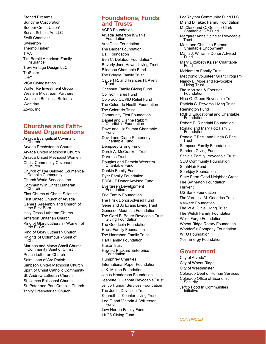Storied Firearms Sundyne Corporation Sooper Credit Union\* Susan Schmitt Art LLC Swift Charities\* Swinerton Thermo Fisher TIAA Tim Bernitt American Family Insurance Trevi Vintage Design LLC **TruScore** UHG VISA Givingstation Walter Re Investment Group Western Midstream Partners Westside Business Builders **Workday** Zovio, Inc.

#### **Churches and Faith-Based Organizations**

Arvada Evangelical Covenant Church Arvada Presbyterian Church Arvada United Methodist Church Arvada United Methodist Women Christ Community Covenant Church Church of The Beloved Ecumenical Catholic Community Church World Services, Inc. Community in Christ Lutheran Church First Church of Christ, Scientist First United Church of Arvada General Assembly and Church of the First Born Holy Cross Lutheran Church Jefferson Unitarian Church King of Glory Lutheran - Women of the ELCA King of Glory Lutheran Church Knights of Columbus - Spirit of Christ Marthas and Marys Small Church Community Spirit of Christ Peace Lutheran Church Saint Joan of Arc Parish Simpson United Methodist Church Spirit of Christ Catholic Community St. Andrew Lutheran Church St. James Episcopal Church St. Peter and Paul Catholic Church Trinity Presbyterian Church

#### **Foundations, Funds and Trusts**

ACFB Foundation Arvada Jefferson Kiwanis Foundation AutoDesk Foundation The Barber Foundation Ball Foundation Ben C. Delatour Foundation\* Beverly Jane Howell Living Trust Bilodeau Charitable Fund The Bringle Family Trust Calvert R. and Frances H. Avery Trust Chesnutt Family Giving Fund Collison Hares Fund Colorado COVID Relief Fund The Colorado Health Foundation The Colorado Trust Community First Foundation Daniel and Dianne Rabbitt Charitable Foundation Dave and Liz Stumm Charitable Fund David and Diane Puntenney Charitable Fund Dempsey Giving Fund Derek A. McCracken Trust DeVorss Trust Douglas and Pamela Weerstra Charitable Fund Dunkin Family Fund Dyer Family Foundation EDBHLT Donor Advised Fund Evergreen Development Foundation LLC Frie Family Foundation The Frisk Donor Advised Fund Gene and Jo Evans Living Trust Genesee Mountain Foundation The Gerri B. Bauer Revocable Trust Giving Foundation The Goodcoin Foundation Hackl Family Foundation The Hanrahan Family Trust Hart Family Foundation Haste Trust Hewlett Packard Enterprise Foundation Humphrey Charities International Paper Foundation J. K. Mullen Foundation Janus Henderson Foundation Jeanette D. Janota Revocable Trust Jeffco Human Services Foundation The Judith Davisson Trust Kenneth L. Koehler Living Trust Lee F. and Victoria J. Wilkerson Fund Lew Norton Family Fund LKCS Giving Fund

LogRhythm Community Fund LLC M and D Takac Family Foundation M. Clark and C. Gottlieb-Clark Charitable Gift Fund Margaret Anne Spindler Revocable Trust Mark and Christine Entman Charitable Endowment Marla J. Williams Donor Advised Fund Mary Elizabeth Kaiser Charitable Fund McNamara Family Trust Medtronic Volunteer Grant Program Nancy L. Moreland Revocable Living Trust The Morrison & Foerster Foundation Nina G. Green Revocable Trust Patricia S. DeVorss Living Trust Remington Fund RMFU Educational and Charitable Foundation Robert E. Ringdahl Foundation Ronald and Mary Pott Family Foundation Ronald F Beck and Linda C Beck Trust Sampson Family Foundation Sanders Giving Fund Schiele Family Irrevocable Trust SCU Community Foundation ShahNair Fund Sparkjoy Foundation State Farm Good Neighbor Grant The Swinerton Foundation **Thrivent** US Bank Foundation The Veronica M. Goodrich Trust VMware Foundation The W.A. Dihle Living Trust The Welch Family Foundation Wells Fargo Foundation Wheat Ridge Rotary Foundation Wonderful Company Foundation WTO Foundation Xcel Energy Foundation

#### **Government**

City of Arvada\* City of Wheat Ridge City of Westminster Colorado Dept of Human Services Colorado Office of Economic **Security** Jeffco Food In Communities Initiative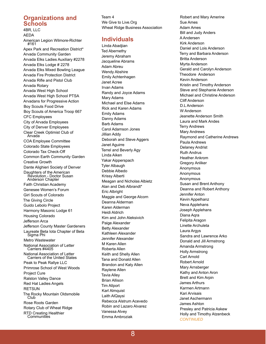#### **Organizations and Schools**

4BR, LLC AEDA American Legion Wilmore-Richter #161 Apex Park and Recreation District\* Arvada Community Garden Arvada Elks Ladies Auxiliary #2278 Arvada Elks Lodge # 2278 Arvada Elks Mixed Bowling League Arvada Fire Protection District Arvada Rifle and Pistol Club Arvada Rotary Arvada West High School Arvada West High School PTSA Arvadans for Progressive Action Boy Scouts Food Drive Boy Scouts of America Troop 667 CFC Employees City of Arvada Employees City of Denver Employees Clear Creek Optimist Club of Arvada COA Employee Committee Colorado State Employees Colorado Tax Check-Off Common Earth Community Garden Creative Growth Dante Alighieri Society of Denver Daughters of the American Revolution - Doctor Susan Anderson Chapter Faith Christian Academy Genesee Women's Forum Girl Scouts of Colorado The Giving Circle Guido Lebolo Project Harmony Masonic Lodge 61 Housing Colorado Jefferson Arca Jefferson County Master Gardeners Laureate Beta Iota Chapter of Beta Sigma Phi Metro Wastewater National Association of Letter Carriers #4405 National Association of Letter Carriers of the United States Peak to Peak Rallye LLC Primrose School of West Woods Project Cure Ralston Valley Dance Red Hat Ladies Angels **RETSUN** The Rocky Mountain Oldsmobile Club Rose Roots Garden Rotary Club of Wheat Ridge RTD Creating Healthier<br>Communities

Team 4 We Give to Live.Org Wheat Ridge Business Association

#### **Individuals**

Linda Abadjian Ted Abernethy Jeremy Abraham Jacqueline Abrams Adam Abreu Wendy Abshire Emily Achtenhagen Janet Acree Irvan Adams Randy and Joyce Adams Mary Adams Michael and Else Adams Rick and Karen Adams Emily Adams Danny Adams Barb Adams Carol Adamson Jones Jillian Addy Deborah and Steve Aggers Janet Aguirre Terrel and Beverly Agy Linda Aiken Yakar Aipperspach Tyler Albaugh Debbie Albedo Krissy Alberti Meagan and Nicholas Albietz Alan and Deb Albrandt\* Eric Albright Maggie and George Alcorn Deanna Alderman Karen Alderman Heidi Aldrich Kim and John Aleksivich Paige Alexander Betty Alexander Kathleen Alexander Jennifer Alexander M Karen Allen Roberta Allen Keith and Shelly Allen Tana and Donald Allen Brandon and Katy Allen Raylene Allen Tavia Alley Brian Allison Tim Allport Karl Almquist Laith AlQaysi Rebecca Alstrum Acevedo Robin and Lazaro Alvarez Vanessa Alvey Emma Ambroziak

Robert and Mary Amerine Sue Ames Adam Ames Bill and Judy Anders A Andersen Kirk Anderson Daniel and Lois Anderson Terry and Barbara Anderson Britta Anderson Myrta Anderson Gerald and Carolyn Anderson Theodore Anderson Kevin Anderson Kristin and Timothy Anderson Steve and Stephanie Anderson Michael and Christine Anderson Cliff Anderson D.L Anderson W Anderson Jeanette Anderson Smith Laura and Mark Andes Terry Andrews Mary Andrews Raymond and Catherine Andrews Paula Andrews Delaney Andrist Ruth Andrus Heather Ankrom Gregory Anliker Anonymous Anonymous Anonymous Susan and Brent Anthony Deanna and Robert Anthony Jennifer Anton Kevin Appelhanz Neva Applehans Joseph Applehans Diana Aqra Felipita Aragon Linette Archuleta Laura Argys Sandra and Lawrence Arko Donald and Jill Armstrong Amanda Armstrong Holly Armstrong Carl Arnold Robert Arnold Mary Arnsberger Kathy and Anton Aron Brett and Kim Arpin James Arthurs Karmen Artmann Kari Arvisais Janet Aschermann James Ashton Presley and Patricia Askew Holly and Timothy Atzenbeck *CONTINUED*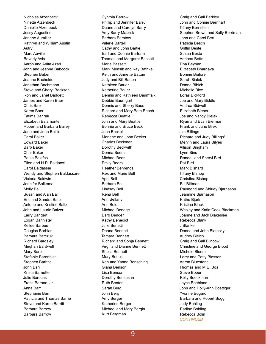Nicholas Atzenbeck Ninette Atzenbeck Danielle Atzenbeck Jessy Augustine Janene Aumiller Kathryn and William Austin Autry Marc Auville Beverly Avis Aaron and Anita Azari John and Jeanne Babcock Stephen Baber Jeanne Bacheldor Jonathan Bachmann Steve and Cheryl Backsen Ron and Janet Badgett James and Karen Baer Chris Baer Karen Baer Fatima Bahrair Elizabeth Baiamonte Robert and Barbara Bailey Jane and John Baillie Carol Baker Edward Baker Barb Baker Char Baker Paula Balafas Ellen and H.R. Baldacci Carol Baldassar Wendy and Stephen Baldassare Victoria Baldwin Jennifer Balkema Molly Ball Susan and Alan Ball Eric and Sandra Baltz Antone and Kristine Baltz John and Laurie Balzer Larry Bangert Logan Bannister Kellee Barbee Douglas Barbian Barbara Barczuk Richard Bardsley Meghan Bardwell Mary Bare Stefanie Barenblat Stephen Barhite John Baril Krista Barnette Julie Barocas Frank Barone, Jr. Anna Barr Stephanie Barr Patricia and Thomas Barrie Steve and Karen Barritt Barbara Barrow Barbara Barrow

Cynthia Barrow Phillip and Jennifer Barru Duane and Carolyn Barry Amy Barry Matzick Barbara Barstow Valerie Bartell Cathy and John Bartle Earl and Connie Bartram Thomas and Margaret Bassett Marie Bassett Mark Mensik and Kay Bathke Keith and Annette Battan Judy and Bill Batton Kathleen Bauer Katherine Bauer Dennis and Kathleen Baumfalk Debbie Baumgart Dennis and Sherry Baus Richard and Mary Beth Beach Rebecca Beattie John and Mary Beattie Bonnie and Bruce Beck Jean Beckel Marlene and John Becker Charles Beckman Dorothy Beckwith Donna Beem Michael Beer Emily Beers Heather Behrends Rex and Marie Bell April Bell Barbara Bell Lindsay Bell Rena Bell Ann Bellany Ann Belo Michael Benage Barb Bender Kathy Benedict Julie Benetti Deana Bennett Tamara Bennett Richard and Sonja Bennett Virgil and Dianne Bennett Sheila Bennett Mary Benoit Ken and Yanna Bensching Giana Benson Lisa Benson Dorothy Bensusan Ruth Benton Sarah Berg John Berg Amy Berger Katherine Berger Michael and Mary Bergin Kurt Bergman

Craig and Gail Berkley John and Connie Bernhart **Tiffany Bernstein** Stephen Brown and Sally Berriman John and Carol Bert Patricia Besch **Griffin Beste** Susan Beste Adriana Betts Tina Beyhan Elizabeth Bhargava Bonnie Biafore Sarah Bialek Donna Bibich Michelle Bice Loras Bickford Joe and Mary Biddle Andrea Bidwell Elizabeth Bieber Joe and Nancy Bielak Ryan and Evan Bierman Frank and June Bilek Jim Billings Richard and Judy Billings\* Mervin and Laura Bilyeu Allison Bingham Lynn Bins Randell and Sheryl Bird Pat Bird Mark Bishard **Tiffany Bishop** Christina Bishop Bill Bittman Raymond and Shirley Bjarnason Jeannine Bjarnason Kathe Bjork Kristina Black Wesley and Katie Cook Blackman Joanne and Jack Blakeslee Rebecca Blank J Blanke Donna and John Blatecky Audrey Bleich Craig and Gail Blincow Christine and George Blood Michele Bloom Larry and Patty Blosser Aaron Bluestone Thomas and M.E. Boa Steve Bober Kelly Boeckman Joyce Boehland John and Holly-Ann Boettiger Yvonne Bogard Barbara and Robert Bogg Judy Bohling Earline Bohling Rebecca Bolin *CONTINUED*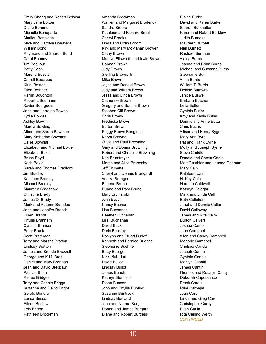Emily Chang and Robert Bolskar Mary Jane Bolton Diane Bommer Michelle Bonaparte Marilou Bonavida Mike and Carolyn Bonavida William Bond Raymond and Sharon Bond Carol Bonney Tim Bookout Betty Boon Marsha Boscia Carroll Bossieux Kirsti Boston Ellen Bothner Kaitlin Boughton Robert L Boumann Xavier Bourgeois John and Lorraine Bowen Lydia Bowles Ashley Bowlin Marcia Bowling Albert and Sarah Bowman Mary Katherine Bowman Callie Bownial Elizabeth and Michael Boxler Elizabeth Boxler Bruce Boyd Keith Boyle Sarah and Thomas Bradford Jim Bradley Kathleen Bradley Michael Bradley Maureen Bradshaw Christine Brady James D. Brady Mark and Autumn Brandes John and Jennifer Brandt Elsen Brandt Phyllis Branham Cynthia Branson Peter Brask Scott Brateman Terry and Marsha Bratton Lindsey Bratton James and Brenda Brazzell George and K.M. Breit Daniel and Mary Brennan Jean and David Bretzlauf Patricia Brian Renee Bridges Terry and Connie Briggs Suzanne and David Bright Gerald Brindisi Larisa Brisson Eileen Bristow Lois Britton Kathleen Brockman

Amanda Brockman Warren and Margaret Broderick Sandra Broers Kathleen and Richard Brohl Cheryl Brooks Linda and Colin Broom Kirk and Mary McMahan Brower Cathy Brown Marilyn Ellsworth and Irwin Brown Hannah Brown Judy Brown Sterling Brown, Jr. Mike Brown Joyce and Donald Brown Judy and William Brown Jesse and Linda Brown Catherine Brown Gregory and Bonnie Brown Stephen Clif Brown Chris Brown Fredricka Brown Burton Brown Peggy Brown Bengtson Karyn Browne Olivia and Paul Browning Gary and Donna Browning Robert and Christine Browning Ken Brumtmyer Martin and Alice Brunecky Jeff Brunette Cheryl and Dennis Brungardt Annika Brunger Eugene Bruno Duane and Pam Bruno Mary Bryniarski John Bucci Nancy Buchan Lisa Buchanan Heather Buchanan Mrs. Buchanan David Buck Doris Buckley Roslynn and Stuart Budoff Kenneth and Bernice Bueche Stephenie Buehrle Betty Buerger Nikki Buhrdorf David Bullock Lindsay Bullot James Bunch Kathryn Bunnelle Diane Bunson John and Phyllis Bunting Suzanne Buntrock Lindsay Bunyard John and Norma Burg Donna and James Burgard Diane and Robert Burgess

Elaine Burke David and Karen Burke Sharon Burkhalter Karen and Robert Burklow Judith Burness Maureen Burnett Nan Burnett Rachael Burnham Alaina Burns Joanna and Brian Burns Michael and Suzanne Burns Stephanie Burr Anna Burris William T. Burris Denise Burrows Janice Buswell Barbara Butcher Leila Butler Cynthis Butler Amy and Kevin Butler Dennis and Anne Butta Chris Buzas Allison and Henry Bygott Mary Ann Byrd Pat and Frank Byrne Molly and Joseph Byrne Steve Caddle Donald and Sonya Cadle Matt Gauthier and Leanne Cadman Mary Cain Kathleen Cain H. Kay Cain Norman Caldwell Kathryn Calegar Mark and Linda Call Beth Callahan Janet and Dennis Callan David Calloway James and Rita Calm Burton Calvert Joshua Camp Joan Campbell Allen and Sandy Campbell Marjorie Campbell Chelsea Canda Joseph Cannella Cynthia Cannia Marilyn Canniff James Cantin Thomas and Rosalyn Canty Deborah Capobianco Frank Carau Mike Carbajal Joan Card Linda and Greg Card Christopher Carey Evan Carlin Rita Carlino Werth *CONTINUED*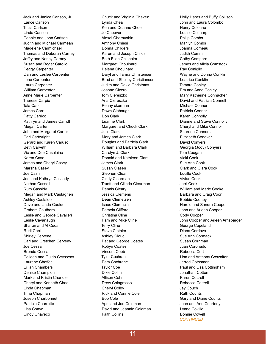Jack and Janice Carlson, Jr. Lance Carlson Tricia Carlson Linda Carlson Connie and John Carlson Judith and Michael Carmean Madelene Carmichael Thomas and Deborah Carney Jeffry and Nancy Carney Susan and Roger Carollo Peggy Carpenter Dan and Leslee Carpenter Ilene Carpenter Laura Carpenter William Carpenter Anne Marie Carpenter Therese Carpio Tala Carr James Carr Patty Carrico Kathryn and James Carroll Megan Carter John and Margaret Carter Carl Cartwright Gerard and Karen Caruso Beth Carveth Vic and Dee Casalaina Karen Case James and Cheryl Casey Marsha Casey Joe Cash Joel and Kathryn Cassady Nathan Cassell Ruth Cassidy Megan and Mark Castagneri Ashley Castaldo Dave and Linda Caulder Graham Cauthorn Leslie and George Cavalieri Leslie Cavanaugh Sharon and Al Cedar Rudi Cerri Shirley Cervene Carl and Gretchen Cerveny Joe Cessa Brenda Cessar Colleen and Guido Ceyssens Laurene Chaffee Lillian Chambers Denise Champion Mark and Kristin Chandler Cheryl and Kenneth Chao Linda Chapman Trina Chapman Joseph Charbonnet Patricia Charrette Lisa Chave Cindy Chaveco

Chuck and Virginia Chavez Lynda Chea Ken and Deanne Chee Jo Cheever Alexei Chernushin Anthony Chiesi Donna Childers Karen and Joseph Childs Beth Ellen Chisholm Margaret Chouinard Helena Chouinard Daryl and Tamra Christensen Brad and Shelley Christianson Judith and David Christmas Joanne Cicero Tom Ciereszko Ana Ciereszko Penny ckerman Dawn Clabaugh Don Clark Luanne Clark Margaret and Chuck Clark Julie Clark Mary and James Clark Douglas and Patricia Clark William and Barbara Clark Carolyn J. Clark Donald and Kathleen Clark James Clark Susan Clasen Stephen Clear Cindy Clearman Truett and Cilinda Clearman Dennis Cleary Jessica Clemens Dean Clemetsen Isaac Clerencia Pamela Clifford Christina Cline Pam and Mike Cline Terry Cline Steve Clothier Ashley Cloud Pat and George Coates Robyn Coates Vincent Cobb Tyler Cochran Pam Cochrane Taylor Coe Dixie Coffin Allison Cohn Drew Colagrosso Cheryl Colby Rick and Connie Cole Bob Cole April and Joe Coleman David and Jeannie Coleman Faith Collins

Holly Hares and Buffy Collison John and Laura Colombo Henry Colonno Louise Coltharp Philip Combs Marilyn Combs Joanna Comeau Judith Comm Cathy Compere James and Alicia Comstock Ray Coniglio Wayne and Donna Conklin Leatrice Conklin Tamara Conley Tim and Anne Conley Mary Katherine Connacher David and Patricia Connell Michael Conner Patricia Conner Karen Connolly Dianne and Steve Connolly Cheryl and Mike Connor Shareen Connors Elizabeth Conover David Conyers Georgia (Jody) Conyers Tom Coogan Vicki Cook Sue Ann Cook Clark and Clara Cook Lucille Cook Vivian Cook Jerri Cook William and Marie Cooke Barbara and Craig Coon Bobbie Cooney Harold and Sandra Cooper John and Arleen Cooper Cody Cooper John Cooper and Arleen Arnsbarger George Copeland Diana Cordova Sue Ann Cormack Susan Cornman Juan Coronado Rebecca Cort Lisa and Anthony Coszalter Jerrod Cotosman Paul and Lisa Cottingham Jonathan Cotton Karen Cottrell Rebecca Cottrell Jay Couch Ruth Counts Gary and Diane Counts John and Ann Courtney Lynne Coville Bonnie Cowell *CONTINUED*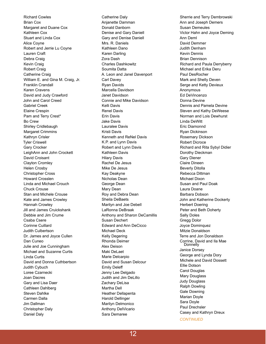Richard Cowles Brian Cox Margaret and Duane Cox Kathleen Cox Stuart and Linda Cox Alice Coyne Robert and Jerrie Lu Coyne Lauren Craft Debra Craig Kevin Craig Robert Craig Catherine Craig William E. and Gina M. Craig, Jr. Franklin Crandall Karen Cravens David and Judy Crawford John and Carol Creed Gabriel Creek Elaine Crespin Pam and Terry Crest\* Bo Crew Shirley Cridlebaugh Margaret Crimmins Kathryn Crisler Tyler Criswell Gary Crocker LeighAnn and John Crockett David Croisant Clayton Cromley Helen Crosby Christopher Cross Howard Crosslen Linda and Michael Crouch Chuck Crouse Stan and Michele Crouse Kate and James Crowley Hannah Crowley Jill and James Cruickshank Debbie and Jim Crume Csaba Csere Corinne Cuillard Judith Culbertson Dr. James and Joyce Cullen Dan Cuneo Julie and Joe Cunningham Michael and Suzanne Curtis Linda Curtis David and Donna Cuthbertson Judith Cybuch Loree Czarnecki Joan Dacres Gary and Lisa Daer Cathleen Dahlberg Steven Dahlke Carmen Dalla Jim Dallman Christopher Daly Daniel Daly

Catherine Daly Anjanette Damman Donald Danborn Denise and Gary Daniell Gary and Denise Daniell Mrs. R. Daniels Kathleen Dano Karen Darling Zora Dash Charles Dashkowitz Soumita Datta A. Leon and Janel Davenport Carl Davey Ryan Davids Marcella Davidson Janet Davidson Connie and Mike Davidson Kelli Davis Renel Davis Erin Davis Jake Davis Lauralee Davis Kristi Davis Kenneth and ReNel Davis K.P. and Lynn Davis Robert and Lynn Davis Kathleen Davis Hilary Davis Rachel De Jesus Mike De Jesus Kay Deakyne Nicholas Dean George Dean Mary Dean Roy and Debra Dean Sheila DeBaets Marilyn and Joe Debell LaRonna DeBraak Anthony and Sharon DeCamillis Susan Dechert Edward and Ann DeCicco Michael Deck Kelly Degering Rhonda Deimer Alex Deison Maki DeLaet Marie Delcarpio David and Susan Delcour Emily Deleff Jenny Lee Delgado Judith and Jim DeLillo Zachary DeLisa Martha Dell Heather Dellapenta Harold Dellinger Marilyn Delmonico Anthony DelVicario Sara Demaree

Sherrie and Terry Dembrowski Ann and Joseph Demers Susan Demeules Victor Hahn and Joyce Deming Ann Deml David Demmer Judith Denham Kevin Dennis Brian Dennison Richard and Paula Derryberry Michael and Erika Deru Paul DesRocher Mark and Shelly Deven Serge and Ketty Devieux Anonymous Ed DeVincenzo Donna Devine Dennis and Pamela Devine Steven and Kathy DeWeese Norman and Lois Dewhurst Linda DeWitt Eric Diamonnd Ryan Dickinson Rosemary Dickson Robert Dicroce Richard and Rita Sybyl Didier Dorothy Dieckman Gary Diener Claire Dineen Beverly Ditolla Rebecca Dittman Michael Dixon Susan and Paul Doak Laura Doane Barbara Dobson John and Katherine Dockerty Herbert Doering Peter and Beth Doherty Sally Doles Gregg Dolor Joyce Dominquez Mitzie Donaldson Terre and Jon Donaldson Corrine, David and Ila Mae **Donnelly** Janice Dorsey George and Lynda Dory Michele and David Dossett Ellie Dotson Carol Douglas Mary Douglass Judy Douglass Ralph Dowling Gale Downing Marian Doyle Sara Doyle Paul Drechsler Casey and Kathryn Dreux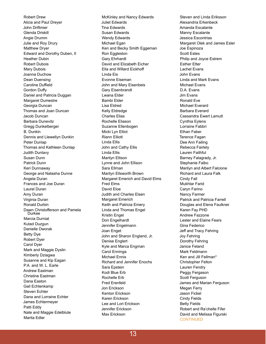Robert Drew Alicia and Paul Dreyer John Driftmier Glenda Driskill Angie Drumm Julie and Roy Drury Matthew Dryer Edward and Dorothy Duben, II Heather Dubin Robert Dubois Mary Dubois Joanna Duchow Dean Duensing Caroline Duffield **Gordon Duffy** Daniel and Patricia Duggan Margaret Dumestre Georgia Duncan Thomas and Joan Duncan Jacob Duncan Barbara Dunevitz Gregg Dunkelberger B. Dunkin Dennis and Llewellyn Dunkin Peter Dunlap Thomas and Kathleen Dunlap Judith Dunlavy Susan Dunn Patrick Dunn Keri Dunnaway George and Natasha Dunne Angela Duran Frances and Joe Duran Laurel Duran Amy Duran Virginia Duran Ronald Durbin Dawn Christofferson and Pamela Durkee Marcia Durniat Kutad Duzgun Danielle Dworak Betty Dye Robert Dyer Carol Dyer Mark and Maggie Dyslin Kimberly Dziagwa Susanne and Kip Eagan P.A. and W. L. Earle Andrew Eastman Christine Eastman Dana Easton Gail Echtenkamp Steven Echter Dana and Lorraine Echter James Echtermeyer Patti Eddy Nate and Maggie Edelblute Marita Edler

McKinley and Nancy Edwards Juliet Edwards Tina Edwards Susan Edwards Wendy Edwards Michael Egan Ken and Becky Smith Eggeman Ron Eggleston Gary Ehrhardt David and Elizabeth Eicher Ella and Willard Eickhoff Linda Eis Evonne Eiseman John and Mary Eisenbeis Gary Eisenbrandt Lwana Elder Bambi Elder Lisa Eldred Kelly Eldredge Charles Elias Rochelle Eliason Suzanne Ellenbogen Micki Lyn Elliot Riann Elliott Linda Ellis John and Cathy Ellis Linda Ellis Marilyn Ellison Lynne and John Ellison Sara Ellman Marilyn Ellsworth Brown Margaret Emerich and David Elms Fred Elms David Eloe Judith and Charles Elsen Margaret Emerich Keith and Patricia Emery Linda and Thomas Engel Kristin Engel Don Engelhardt Jennifer Engelmann Joan Enget John and Sharon England, Jr. Denise Englert Kyle and Marca Engman Carol Enninga Michael Ennis Richard and Jennifer Enochs Sara Epstein Kodi Blue Erb Rochelle Erb Fred Erenfeld Jon Erickson Kenton Erickson Karen Erickson Lee and Lori Erickson Jennifer Erickson Max Erickson

Steven and Linda Eriksson Alexandria Erkenbeck Amanda Escalante Manny Escalante Jessica Escontrias Margaret Olek and James Esler Joe Espinoza Scott Estes Philip and Joyce Estrem Esther Etter Lachel Evans John Evans Linda and Mark Evans Michael Evans D.A. Evans Jim Evans Ronald Eve Michael Everard Barbara Everard Cassandra Ewert Lamutt Cynthia Eylens Lorraine Fabbri Ethan Faber Terence Fagan Dee Ann Failing Rebecca Fairlely Lauren Faithful Barney Falagrady, Jr. Stephanie Falbo Marilyn and Albert Falcione Richard and Laura Falk Cindy Fall Mukhtar Farid Caryn Farino Nancy Farmer Patrick and Patricia Farrell Douglas and Elena Faulkner Karen Fay PHD Andrew Fazzone Lester and Elaine Fears Gina Federico Jeff and Tracy Fehring Joy Fehring Dorothy Fehring Janice Feland Mark Feldmann Ken and Jill Fellman\* Christopher Felton Lauren Fendry Peggy Fergason Scott Ferguson James and Marian Ferguson Megan Ferry Jason Fickel Cindy Fields Betty Fields Robert and Ra'chelle Fifer David and Melissa Figurski *CONTINUED*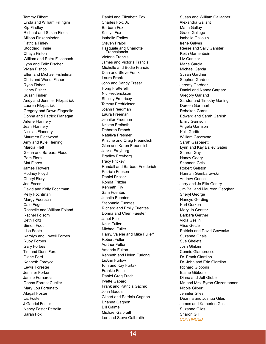Tammy Filbert Linda and William Fillingim Kip Findley Richard and Susan Fines Allison Finkenbinder Patricia Finley Stoddard Finnie Chaya Finton William and Petra Fischbach Lynn and Felix Fischer Vivian Fishco Ellen and Michael Fishelman Chris and Wendi Fisher Ryan Fisher Henry Fisher Susan Fisher Andy and Jennifer Fitzpatrick Lauren Fitzpatrick Gregory and Dawn Flageolle Donna and Patrick Flanagan Arlene Flannery Jean Flannery Nicolas Flannery Maureen Fleetwood Amy and Kyle Fleming Marcia Flett Glenn and Barbara Flood Pam Flora Mat Flores James Flowers Rodney Floyd Cheryl Flury Joe Focer David and Kelly Fochtman Kelly Fochtman Margy Foertsch Cale Fogel Rochelle and William Foland Rachel Folsom Beth Foltz Simon Foot Lisa Foote Karolyn and Lowell Forbes Ruby Forbes Gary Forbes Tim and Doris Ford Diane Ford Kenneth Fordyce Lewis Forester Jennifer Forker Janine Fornarola Donna Forrest Cueller Mary Lou Fortunato Abigail Foster Liz Foster J Gabriel Foster Nancy Foster Petrella Sarah Fox

Daniel and Elizabeth Fox Charles Fox, Jr. Barbara Fox Kaitlyn Fox Isabelle Frailey Steven Fraioli Pasquale and Charlotte Francalancia Victoria Francis James and Victoria Francis Michelle and Bodie Francis Dian and Steve Frank Laura Frank John and Sandy Fraser Hong Fratterelli Nic Frederickson Shelley Fredricey Tammy Fredrickson Joann Freedman Laura Freeman Jennifer Freeman Kristen Freiboth Deborah French Nataliya Fresmer Kristine and Craig Freundlich Glen and Karen Freundlich Jackie Freyberg Bradley Freyberg Tracy Frickey Randall and Barbara Friederich Patricia Friesen Daniel Fritzler Ronda Fritzler Kenneth Fry Sam Fuentes Juanita Fuentes Stephanie Fuentes Richard and Emily Fuentes Donna and Cheri Fuester Janet Fuller Kalin Fuller Michael Fuller Harry, Valerie and Mike Fuller\* Robert Fuller Aurther Fulton Amanda Fulton Kenneth and Helen Furlong LuAnn Furlow Tom and Kay Furtak Frankie Fusco Daniel Greg Futch Yvette Gabardi Frank and Patricia Gacnik John Gaddis Gilbert and Patricia Gagnon Brianna Gagnon Bill Gaime Michael Galbraith Lori and Steve Galbraith

Susan and William Gallagher Alexandra Gallant Maria Gallay Grace Gallego Isabelle Gallouin Irene Galves Reese and Sally Ganster Keith Gantenbein Liz Gantzer Marie Garcia Michael Garcia Susan Gardner Stephen Gardner Jeremy Gardner Daniel and Nancy Gargaro Gregory Garland Sandra and Timothy Garling Doreen Garnhart Rebekah Garris Edward and Sarah Garrish Emily Garrison Angela Garrison Kelli Gartib William Gascoyne Sarah Gasparetti Lynn and Kay Bailey Gates Sharon Gay Nancy Geary Shannon Geis Robert Gelston Hannah Gembarowski Andrew Genco Jerry and Jo Etta Gentry Jim Ball and Maureen Geoghan Sheryl George Nancye Gerding Karl Gerken Mary Jo Gerster Barbara Gertner Viola Geslin Alice Gettle Patricia and David Gewecke Suzanne Ghais Sue Gheleta Josh Ghiloni Connie Giambrocco Dr. Frank Giardino Dr. John and Erin Giardino Richard Gibbons Elaine Gibbons Diana and Je ff Giebel Mr. and Mrs. Byron Giezentanner Nicole Gilbert Jennifer Giles Deanna and Joshua Giles James and Katherine Giles Suzanne Giles Sharon Gill *CONTINUED*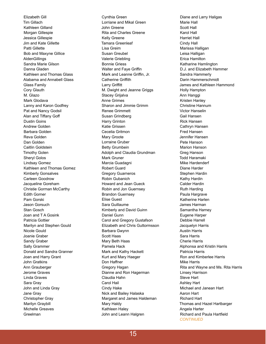Elizabeth Gill Tim Gillach Kathleen Gilland Morgan Gillespie Jessica Gillespie Jim and Kate Gillette Patti Gillette Bob and Maxyne Gillice AldenGillings Sandra Marie Gilson Danna Gladen Kathleen and Thomas Glass Alabama and Annabell Glass Glass Family Cory Glauth M. Glazo Mark Glodava Lanny and Karon Godfrey Pat and Nancy Godsil Alan and Tiffany Goff Dustin Goins Andrew Golden Barbara Golden Reva Golden Dan Golden Caitlin Goldstein Timothy Golen Sheryl Golos Lindsay Gomez Kathleen and Thomas Gomez Kimberly Gonsalves Carleen Goodrow Jacqueline Goreham Christie Gorman McCarthy Edith Gorner Pam Gorski Jason Gorsuch Stan Gosch Joan and T A Gosink Patricia Gottier Marilyn and Stephen Gould Nicole Gould Joanie Graber Sandy Graber Sally Grammer Donald and Sandra Granner Joan and Harry Grant John Gratkins Ann Grauberger Jerome Graves Linda Graves Sara Gray John and Linda Gray Jane Gray Christopher Gray Marilyn Graybill Michelle Greaves Greelman

Cynthia Green Lorriane and Mikal Green John Greene Rita and Charles Greene Kelly Greene Tamara Greenleaf Lisa Greim Susan Greubel Valerie Griebling Bonnie Griess Walter and Faye Griffin Mark and Leanne Griffin, Jr. **Catherine Griffith Larry Griffitt** M. Dwight and Jeanne Griggs Stacey Grijalva Anne Grimes Sharon and Jimmie Grimm Renee Grimmett Susan Grindberg Harry Grinton Katie Grissen Cecelia Gritmon Mary Groote Lorraine Gruber Betty Grumbein Adolph and Claudia Grundman Mark Gruner Marcia Guadagni Robert Guard Gregory Guarneros Robin Gubanich Howard and Jean Gueck Robin and Jon Guernsey Brandon Guernsey Elise Guest Sara Guillaume Kimberly and David Guinn Daniel Gunn Carol and Gregory Gustafson Elizabeth and Chris Guttormsson Barbara Gwynn Scott Haas Mary Beth Haas Pamela Hack Mark and Kathy Hackett Kurt and Mary Haeger Don Haffner Gregory Hagan Dianne and Ron Hagerman Claudia Hahn Carol Hail Cindy Hake Nick and Bailey Halaska Margaret and James Haldeman Mary Haldy Kathleen Haley John and Leann Halgren

Diane and Larry Haligas Marie Hall Scott Hall Karol Hall Harriet Hall Cindy Hall Marissa Halligan Leisa Halligan Erica Hamilton Katharine Hamlington D.J. and Elizabeth Hammer Sandra Hammerly Darin Hammerschmidt James and Kathleen Hammond Holly Hampton Ann Hanggi Kristen Hanley Christine Hannum Victor Hanselin Gail Hansen Rick Hansen Cathryn Hansen Fred Hansen Jennifer Hansen Pete Hanson Marion Hanson Greg Hanson Todd Haramaki Mike Hardenderf Diane Harder Stephen Hardin Kathy Hardin Calder Hardin Ruth Harding Paula Hargrave Katherine Harlen James Harman Samantha Harney Eugene Harper Debbie Harrell Jacquelyn Harris Austin Harris Sara Harris Cherie Harris Alphonsa and Kristin Harris Patricia Harris Ron and Kimberlee Harris Mike Harris Rita and Wayne and Ms. Rita Harris Linsey Harrison Steve Hart Ashley Hart Michael and Janean Hart Aaron Hart Richard Hart Thomas and Hazel Hartbarger Angela Harter Richard and Paula Hartfield *CONTINUED*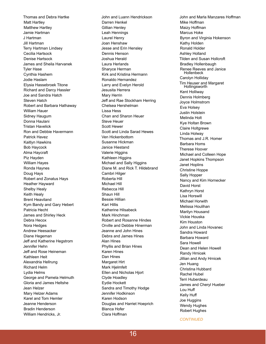Thomas and Debra Hartke Matt Hartley Matthew Hartley Jamie Hartman J Hartman Jill Hartman Terry Hartman Lindsey Cecilia Hartsock Denise Hartsock James and Sheila Harvanek Tyler Hase Cynthia Hashem Jodie Haslam Elysia Hassebroek Titone Richard and Darcy Hassler Joe and Sandra Hatch Steven Hatch Robert and Barbara Hathaway William Hauer Sidney Haugum Donna Haulani Tristan Havelick Ron and Debbie Havermann Patrick Havez Kaitlyn Hawkins Bob Haycock Alma Haycraft Piz Hayden William Hayes Ronda Haynes Doug Hays Robert and Zonatus Hays Heather Hayward Shelby Healy Keith Healy Brent Heaviland Kym Bandy and Gary Hebert Patricia Hecht James and Shirley Heck Debra Hecox Nora Hedges Andrew Heesacker Diane Hegeman Je ff and Katherine Hegstrom Jennifer Hehn Je ff and Rose Heineman Kathleen Heit Alexandria Hellrung Richard Helm Lydia Helms George and Pamela Helmuth Gloria and James Heltshe Jean Helzer Mary Helzer Adams Karel and Tom Hemler Jeanne Henderson Bradin Henderson William Hendricks, Jr.

John and Luann Hendrickson Darren Henkel Gillian Henley Leah Hennings Laurel Henry Joan Henshaw Jesse and Erin Hensley Dennis Henson Joshua Herald Laura Herlands Sharyce Herman Kirk and Kristina Hermann Ronaldo Hernandez Larry and Evelyn Herold Jesusita Herrera Mary Herrin Je ff and Rae Stockham Herring Chelsea Hershelman Lissa Hess Chan and Sharon Heuer Steve Heuer Scott Hewer Scott and Linda Sarad Hewes Ven Hickenbottom Susanne Hickman Janice Hiestand Valerie Higgins Kathleen Higgins Michael and Sally Higgins Diane M. and Rick T. Hildebrand Cambri Hilger Roberta Hill Michael Hill Rebecca Hill Shaun Hill Bessie Hillian Kari Hillis Katherine Hilsabeck Mark Hinchman Robert and Rosanne Hindes Orville and Debbie Hinerman Jeanne and John Hines Debra and James Hines Alan Hines Phyllis and Brian Hines Karen Hines Dan Hines Margaret Hirt Mark Hjelmfelt Ellen and Nicholas Hjort Clyde Hoadley Eydie Hockett Sandra and Timothy Hodge Jennifer Hodkinson Karen Hodson Douglas and Harriet Hoeprich Blanca Hofer Clara Hoffman

John and Marla Manzares Ho ff man Mike Hoffman Maizy Hoffman Marcus Hoke Byron and Virginia Hokenson Kathy Holden Ronald Holder Ashley Holland Tilden and Susan Hollcroft Bradley Hollenbaugh Renee Reeves and Janice Hollenbeck Carolyn Holliday Tim Heuser and Margaret Hollingsworth Kent Holliway Dennis Holmberg Joyce Holmstrom Eva Holsey Justin Holstein Melinda Holt Kye Holtan Brown Claire Holtgrewe Linda Holway Thomas and J.R. Homer Barbara Homs Therese Hoover Michael and Colleen Hope Janet Hopkins Thompson Janet Hoplins Christine Hoppe Sally Hopper Nancy and Kim Hornecker David Horst Kathryn Horst Lisa Horswill Michael Horwith Melissa Houlihan Marilyn Housand Vickie Houska Kim Houston John and Linda Hovanec Sandra Howard Barbara Howard Sara Howell Dean and Helen Howell Randy Hrnicek Jillian and Andy Hrnicek Jen Huang Christina Hubbard Rachel Hubel Terri Huberdeau James and Cheryl Hueber Lou Hu ff Kelly Hu ff Joe Huggins Wendy Hughes Robert Hughes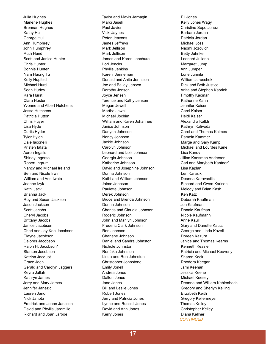Julia Hughes Marlene Hughes Brennan Hughes Kathy Hull George Hull Ann Humphrey John Humphrey Ruth Hund Scott and Janice Hunter Chris Hunter Bonnie Hunter Nam Huong Tu Kelly Hupfeld Michael Hurd Sean Hurley Kara Hurst Clara Huster Yvonne and Albert Hutchens Jesse Hutchens Patricia Hutton Chris Huyer Lisa Hyde Curtis Hyder Tyler Hylen Dale Iaconelli Kristen Iafata Aaron Ingalls Shirley Ingersoll Robert Ingrum Nancy and Michael Ireland Ben and Nicole Irwin William and Ann Iwata Joanne Izyk Kathi Jack Brianna Jack Roy and Susan Jackson Jason Jackson Scott Jacobs Cheryl Jacobs Brittany Jacobs Janice Jacobsen Cheri and Jay Kee Jacobson Elayne Jacobson Delores Jacobson Ralph H. Jacobson\* Stanton Jacobson Katrina Jacquot Grace Jaen Gerald and Carolyn Jaggers Keyra Jallah Kathryn James Jerry and Mary James Jennifer Janezic Lauren Jano Nick Janota Fredrick and Joann Janssen David and Phyllis Jaramillo Richard and Joan Jarboe

Taylor and Mavis Jarnagin Marci Jasek Paul Javier Vicki Jaynes Peter Jeavons James Jeffreys Mark Jellison Mark Jellison James and Karen Jenchura Lori Jencks Phyllis Jenkins Karen Jenneman Donald and Anita Jennison Joe and Bailey Jensen Dorothy Jensen Joyce Jensen Terence and Kathy Jensen Megan Jewell Martha Jewell Michael Jochim William and Karen Johannes Janice Johnson Darlynn Johnson Nancy Johnson Jackie Johnson Carolyn Johnson Leonard and Lois Johnson Georgia Johnson Katherine Johnson David and Josephine Johnson Donna Johnson Kathi and William Johnson Jaime Johnson Paulette Johnson Derek Johnson Bruce and Brenda Johnson Donna Johnson Charles and Claudia Johnson Roderic Johnson John and Marilyn Johnson Frederic Clark Johnson Ron Johnson Charlene Johnson Daniel and Sandra Johnston Nichole Johnston Ronfaka Johnston Linda and Ron Johnston Christopher Johnstone Emily Jonell Andrea Jones Dalton Jones Jane Jones Bill and Leslie Jones Robert Jones Jerry and Patricia Jones Lynne and Russell Jones David and Ann Jones Kerry Jones

Eli Jones Kelly Jones Wagy Christine Sopo Jonez Barbara Jordan Patricia Jordan Michael Jossi Naomi Jozovich Betty Juhnke Leonard Juliano Margaret Jump Ann Jumper Lorie Junnila William Juraschek Rick and Beth Justice Anita and Stephen Kabrick Timothy Kacmar Katherine Kahn Jennifer Kaiser Carol Kaiser Heidi Kaiser Alexandra Kalbli Kathryn Kalivoda Carol and Thomas Kalmes Pamela Kammer Marge and Gary Kamp Michael and Lourdes Kane Lisa Kanov Jillian Kansman Anderson Carl and Marybeth Kantner\* Lisa Kaplan Len Karasik Deanna Karavasilis Richard and Gwen Karlson Melody and Brian Kash Ken Katz Deborah Kauffman Jon Kaufman Donald Kaufman Nicole Kaufmann Anne Kaull Gary and Danette Kautz George and Linda Kazell Doreen Kazura Janice and Thomas Kearns Kenneth Keasler Patricia and Michael Keaveny Sharon Keck Rhodora Keegan Jami Keenan Jessica Keene Michael Keesey Deanna and William Kehlenbach Gregory and Sherlyn Keiling Elizabeth Keith Gregory Kellermeyer Thomas Kelley Christopher Kelley Diana Kellner *CONTINUED*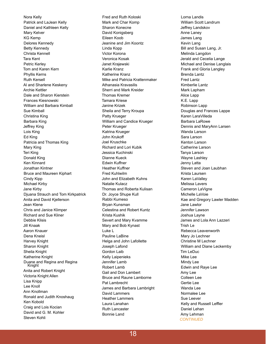Nora Kelly Patrick and LaJean Kelly Daniel and Kathleen Kelly Mary Kelver KG Kemp Delores Kennedy Betty Kennedy Christa Kennell Tara Kent Petric Kerley Tom and Karen Kern Phyllis Kerns Ruth Kersell Al and Sharlene Keskeny Archie Kettler Dale and Sharon Kierstein Frances Kiesnowski William and Barbara Kimball Sue Kimball Christina King Barbara King Jeffrey King Lois King Ed King Patricia and Thomas King Mary King Teri King Donald King Ken Kinnard Jonathan Kintner Bruce and Maureen Kiphart Cindy Kipp Michael Kirby Jane Kirby Djuana Strauch and Tom Kirkpatrick Anita and David Kjellerson Jean Klene Chris and Janice Klimper Richard and Sue Kliner Debbie Klisis Jill Knaak Aaron Knauer Dena Kneisl Harvey Knight Sharon Knight Sheila Knight Katherine Knight Duane and Regina and Regina Knight Anita and Robert Knight Victoria Knight Allen Lisa Knipp Lee Knoll Ann Knollman Ronald and Judith Knoshaug Ken Kobold Craig and Lois Kocian David and G. M. Kohler Steven Kohli

Fred and Ruth Koloski Mark and Char Komp Sharon Konecne David Konigsberg Eileen Koob Jeanine and Jim Koontz Linda Kopp Victor Korona Veronica Kosak Janet Krajewski Karlie Kranz Katherine Kranz Mike and Patricia Krattenmaker Athanasia Kravasilis Sherri and Mark Kreider Thomas Kremer Tamara Kriese Janine Krizek Sheila and Terry Kroupa Patty Krueger William and Candice Krueger Peter Krueger Katrina Krueger John Krukoff Joel Kruschke Richard and Lori Kubik Jessica Kuchinski Dianne Kueck Edwin Kuffner Heather Kuffner Fred Kuhlwilm John and Elizabeth Kuhns Natalie Kulacz Thomas and Roberta Kulisan Dr. Joyce Shupe Kull Rabbi Kumeso Bryan Kunsman Celestina and Robert Kuntz Krista Kushik Severt and Mary Kvamme Mary and Bob Kynast Luke L Pauline LaBine Helga and John Lafollette Joseph Lafond Gordon Laib Kelly Laipenieks Jennifer Lamb Robert Lamb Gail and Don Lambert Bruce and Raune Lamborne Pat Lambrecht James and Barbara Lambright David Lammers Heather Lammers Laura Lanahan Ruth Lancaster Bonnie Land

Lorna Landis William Scott Landrum Jeffrey Landskov Anne Laney James Lang Kevin Lang Bill and Susan Lang, Jr. Melinda Langdon Jerald and Cecelia Lange Michael and Denise Langlais Frank and Gloria Langley Brenda Lantz Fred Lantz Kimberlie Lantz Mark Lapham Alice Lapp K.E. Lapp Robinson Lapp Douglas and Frances Lappe Karen LaraVilleda Barbara LaRowe Dennis and MaryAnn Larsen Wanda Larson Sara Larson Kenton Larson Catherine Larson Tanya Larson Wayne Lashley Jenny Latta Steven and Joan Laubhan Krista Laursen Karen LaValley Melissa Lavers Cameron LaVigne Michelle LaVoie Kae and Gregory Lawler Madden Jane Lawlor Jennifer Lawson Joshua Layne James and Lola Ann Lazzeri Trish Le Rebecca Leavenworth Mary Jo Lechner Christine M Lechner William and Diane Leckemby Tim LeDuc Mike Lee Mindy Lee Edwin and Raye Lee Amy Lee Colleen Lee Gertie Lee Wanda Lee Normalee Lee Sue Leever Kelly and Russell Leffler Daniel Lehan Amy Lehman *CONTINUED*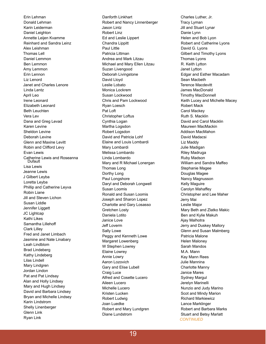Erin Lehman Donald Lehman Karin Leiderman Daniel Leighton Annette Leijen Kvamme Reinhard and Sandra Leinz Alex Leishman Thomas Lell Daniel Lemmon Ben Lemmon Amy Lemmon Erin Lennon Liz Lenord Janet and Charles Lenore Linda Lentz April Leo Irene Leonard Elizabeth Leonard Beth Leuchten Vera Lev Dana and Greg Levad Karen Levine Sheldon Levine Deborah Levine Glenn and Maxine Levitt Robin and Clifford Levy Evan Lewis Catherine Lewis and Roseanna Dufault Lisa Lewis Jeanne Lewis J Gilbert Leyba Loretta Leyba Phillip and Catherine Leyva Robin Liane Jill and Steven Lichon Susan Liddle Jennifer Liggett JC Lightcap Kathi Likes Samantha Lilleho ff Clark Lilley Fred and Janet Limbach Jasmine and Nate Linabary Leah Lindblom Brad Lindeberg Kathy Lindeberg Lilas Lindell Mary Lindgren Jordan Lindon Pat and Pat Lindsay Alan and Holly Lindsey Mary and Hugh Lindsey David and Barbara Lindsey Bryan and Michelle Lindsey Karin Lindstrom Shelly Linenberger Glenn Link Ryan Link

Danforth Linkhart Robert and Nancy Linnenberger Jason Lintz Robert Linz Ed and Leslie Lippert Chandra Lippitt Paul Little Patricia Littman Andrea and Mark Litzau Michael and Mary Ellen Litzau Suzan Livengood Deborah Livingstone David Lloyd Leslie Lobato Monica Lockrem Susan Lockwood Chris and Pam Lockwood Ryan Loesch Pat Loft Christopher Loftus Cynthia Logan Martha Logsdon Robert Logsdon David and Patricia Lohf Elaine and Louis Lombardi Mary Lombardi Melissa Lombardo Linda Lombardo Mary and R Michael Lonergan Thomas Long Dorthy Long Paul Longshore Daryl and Deborah Longwell Susan Loomis Ronald and Susan Loomis Joseph and Sharon Lopez Charlotte and Gary Losasso Gretchen Losty Daniela Lotito Janice Love Je ff Loverm Sally Lowe Peggy and Kenneth Lowe Margaret Lowenberg W Stephen Lowrey Elaine Lowrey Annie Lowry Aaron Lozovich Gary and Elise Lubell Craig Luce Alfred and Cosette Lucero Aileen Lucero Michelle Lucero Kristen Lucken Robert Ludwig Joan Luedke Robert and Mary Lundgren Diane Lundstrom

Charles Luther, Jr. Tracy Lyman Jill and Stuart Lynar Danie Lynn Helen and Bob Lyon Robert and Catherine Lyons David G. Lyons Gilbert and Timothy Lyons Thomas Lyons R. Keith Lytton Janet Lytton Edgar and Esther Macadam Sean Macbeth Terence Macdevitt James MacDonald Timothy MacDonnell Keith Lucey and Michelle Macey Robert Mack Carol Mackey Ruth S. Macklin David and Carol Macklin Maureen MacMackin Addison MacMahon David Madacsi Liz Maddy Julie Madigan Riley Madruga Ruby Madson William and Sandra Maffeo Stephanie Magee Douglas Magee Nancy Magnusson Kelly Maguire Carolyn Mahaffey Christopher and Lee Maher Jerry Mai Leslie Major Mary Beth and Zlatko Makic Ben and Kylie Makuh Ajay Malhotra Jerry and Duskey Mallory Glenn and Susan Malmberg Patricia Malone Helen Maloney Sarah Mandos M.A. Mann Kay Mann Rees Julie Mannina Charlotte Manny Janice Mares Sydney Margul Jerelyn Marinelli Nunzio and Judy Marino Scot and Mindy Marion Richard Markiewicz Lance Marklinger Robert and Barbara Marks Stuart and Betsy Marlatt *CONTINUED*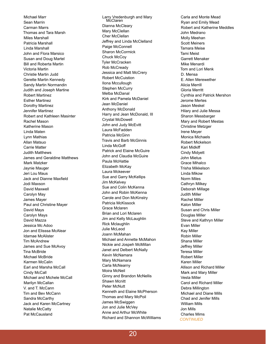Michael Marr Sean Marrin Carman Marrs Thomas and Tara Marsh Miles Marshall Patricia Marshall Linda Marshall John and Flora Marsico Susan and Doug Martel Bill and Roberta Martin Victoria Martin Christie Martin Judd Gerette Martin Kennedy Sandy Martin Normandin Judith and Joseph Martine Robert Martinez Esther Martinez Dorothy Martinez Jennifer Martinez Robert and Kathleen Masinter Rachel Mason Katherine Mason Linda Maten Lynn Mathias Allan Matsuo Carrie Matter Judith Matthews James and Geraldine Matthews Mark Matzker Jaynie Mauger Jeri Lou Maus Jack and Dianne Maxfield Jodi Maxson David Maxwell Carolyn May James Mayer Paul and Christine Mayer David Mays Carolyn Mays David Mazza Jessica Mc Adoo Jon and Elisssa McAlear Idamae McAlister Tim McAndrew James and Sue McAvoy Tina McBride Michael McBride Karmen McCalin Earl and Marsha McCall Cindy McCall Michael and Michele McCall Marilyn McCallan V. and T. McCann Tim and Bev McCann Sandra McCarthy Jack and Karen McCartney Natalie McCatty Pat McCausland

Larry Vredenburgh and Mary McClaren Dianna McCleary Mary McClellan Cher McClellan Jeffrey and Linda McClelland Paige McConnell Sharon McCormick Chuck McCoy Tyler McCracken Rob McCready Jessica and Matt McCrery Robert McCuistion Ilona Mccullough Stephen McCurry Melba McDanal Kirk and Pamela McDaniel Jean McDaniel Anthony McDonald Harry and Jean McDonald, III Crystal McDowell John and Judy McEvitt Laura McFadden Patricia McGinn Travis and Barb McGinnis Linda McGo ff Patrick and Elaine McGuire John and Claudia McGuire Paula McHattie Elizabeth McKay Laura Mckeever Sue and Garry McKellips Jim McKelvey Sue and Colin McKenna John and Robin McKenna Carole and Don McKinstry Patricia McKissock Grace Mclaren Brian and Lori Mclaren Jim and Kelly McLaughlin Rick Mclaughlin Julie McLeod Joann McMahan Michael and Annette McMahon Nickie and Jospeh McMillan Janet and Delbert McNally Kevin McNamara Mary McNamara Carla McNearny Moira McNeil Ginny and Brandon McNellis Shawn Mcnitt Peter McNutt Kenneth and Elaine McPherson Thomas and Mary McPoil James McSwiggen Jon and Julie McVey Anne and Arthur McWhite Richard and Shannon McWilliams

Carla and Monte Mead Ryan and Emily Mead Robert and Katherine Meddles John Medrano Molly Meehan Scott Meiners Tamara Meise Tami Meist Garrett Menaker Mike Menardi Tom and Lori Menk D. Mensa E. Allen Merewether Alicia Merrill Gloria Merritt Cynthia and Patrick Mershon Jerome Mertes Jason Meskel Hilary and Julie Messa Sharon Messbarger Mary and Robert Mestas Christine Metzger Irene Meyer Monica Michaels Robert Mickelson Kari Midki ff Cindy Midyett John Mietus Grace Mihalco Trisha Mikkelson Linda Mikow Norm Miles Cathryn Milkey Deborah Millage Judith Miller Rachel Miller Kalon Miller Susan and Chris Miller Douglas Miller Steve and Kathryn Miller Evan Miller Kay Miller Robin Miller Shana Miller Je ff rey Miller Teresa Miller Robert Miller Karen Miller Allison and Richard Miller Mark and Mary Miller Vesta Miller Carol and Richard Miller Debra Millington Michael and Diane Mills Chad and Jenifer Mills William Mills Jon Mills Charles Mims *CONTINUED*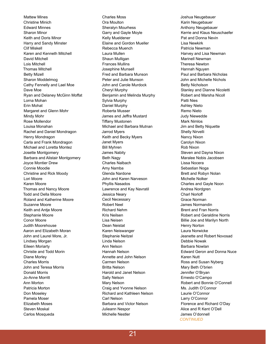Mattew Mines Christine Minich Edward Minnes Sharon Minor Keith and Doris Minor Harry and Sandy Minster Clif Miskell Karen and Kenneth Mitchell David Mitchell Lois Mitchell Thomas Mitchell Betty Mizell Sharon Moddelmog Cathy Fennelly and Lael Moe Dave Moe Ryan and Delaney McGinn Moffat Lorna Mohan Erin Mohat Margaret and Glenn Mohr Mindy Mohr Rose Mollendor Louisa Monahan Rachel and Daniel Mondragon Henry Mondragon Carla and Frank Mondragon Michael and Loretta Montez Josette Montgomery Barbara and Alistair Montgomery Joyce Montier Drew Connie Moodie Christine and Rick Moody Lori Moore Karen Moore Thomas and Nancy Moore Todd and Della Moore Roland and Katherine Moore Suzanne Moore Keith and Antje Moore Stephanie Moore Conor Moore Judith Moorehouse Aaron and Elizabeth Moran John and Laurel More, Jr. Lindsey Morgan Eileen Moriarty Christie and Todd Morin Diane Morley Charles Morris John and Teresa Morris Donald Morris Jo-Anne Morritt Ann Morton Patricia Morton Don Moseley Pamela Moser Elizabeth Moses Steven Moskal Carlos Mosqueda

Charles Moss Ora Moulton Sheralyn Mourhess Garry and Gayle Moyle Kelly Mueldener Elaine and Gordon Mueller Rebecca Muench Laura Mullen Shaun Mulligan Frances Mullins Josephine Munsell Fred and Barbara Munson Peter and Julie Munson John and Carole Murdock Cheryl Murphy Benjamin and Melinda Murphy Sylvia Murphy Daniel Murphy Roberta Musser James and Jeffra Mustard **Tiffany Mustonen** Michael and Barbara Mutnan Jarrod Myers Keith and Becky Myers Janet Myers Bill Myhren James Nabity Beth Nagy Charles Nalbach Amy Namba Glenda Nardone John and Karen Narveson Phyllis Nasados Lawrence and Kay Navratil Jessica Neary Cecil Necessary Robert Neel Richard Nehm Kris Neilsen Lisa Neisen Dean Neistat Karen Neiswanger Stephanie Neitzel Linda Nelson Ann Nelson Hannah Nelson Annette and John Nelson Carmen Nelson Britta Nelson Harold and Janet Nelson Sally Nelson Mary Nelson Craig and Yvonne Nelson Richard and Kathleen Nelson Carl Nelson Barbara and Victor Nelson Julieann Nespor Michelle Nestler

Joshua Neugebauer Karin Neugebauer Anthony Neugebauer Kerrie and Klaus Neuschaefer Pat and Donna Nevin Lisa Newkirk Patricia Newman Harvey and Lisa Newman Marinell Newman Theresa Newton Hannah Nguyen Paul and Barbara Nicholas John and Michelle Nichols Betty Nicholson Stanley and Dianne Nicoletti Robert and Marsha Nicoll Patti Nies Ashley Nieto Remo Nieto Judy Niewedde Mark Nimlos Jim and Betty Niquette Shelly Nirvelli Nancy Nixon Carolyn Nixon Rob Nixon Steven and Dayna Nixon Maralee Nobis Jacobsen Lissa Nocera Sebastian Noga Brett and Robyn Nolan Michelle Nolker Charles and Gayle Noon Andrea Nordgren Charl Norloff Grace Norman James Normandin Brent and Fran Norris Robert and Geraldine Norris Billie Joe and Marilyn North Henry Norton Laura Norwicke Jeanette and Robert Novosad Debbie Nowak Barbara Nowlan Edward Geron and Donna Nuce Karen Nutt Ross and Susan Nyberg Mary Beth O'brien Jennifer O'Bryan Ernesto O'Campo Robert and Bonnie O'Connell Ms. Judith O'Connor Laurie O'Connor Larry O'Connor Florence and Richard O'Day Alice and R Kent O'Dell James O'donnell *CONTINUED*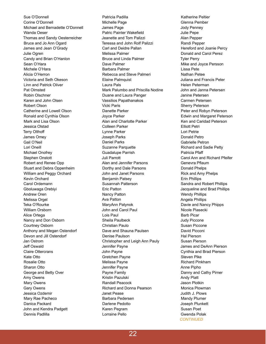Sue O'Donnell Corine O'Donnell Michael and Bernadette O'Donnell Wanda Oeser Thomas and Sandy Oesterreicher Bruce and Jo Ann Ogard James and Jean O'Grady Julie Ogren Candy and Brian O'Hanlon Sean O'Hara Michele O'Hara Alicia O'Herron Victoria and Seth Okeson Linn and Patrick Oliver Pat Olmsted Robin Olschner Karen and John Olsen Robert Olson Catherine and Lowell Olson Ronald and Cynthia Olson Mark and Lisa Olson Jessica Olstad Terry Olthoff James Omey Gail O'Neil Lori Oneill Michael Onofrey Stephen Onstott Robert and Renee Opp Stuart and Debra Oppenheim William and Peggy Orchard Kevin Orchard Carol Ordemann Gboluwaga Orebiyi Andrew Oren Melissa Orgel Teka O'Rourke William Orsborn Alice Ortega Nancy and Don Osborn Courtney Osborn Anthony and Megan Ostendorf Devon and Jill Ostendorf Jan Ostrom Jeff Oswald Claire Ottercrans Kate Otto Rosalie Otto Sharon Otto George and Betty Over Amy Owens Mary Owens Gary Owens Jessica Ozdemir Mary Rae Pacheco Danica Packard John and Kendra Padgett Dennis Padlilla

Patricia Padilla Michelle Page James Page Patric Painter Wakefield Jeanette and Tom Palizzi Teressa and John Rolf Palizzi Carl and Deidre Pallan Melissa Palmer Bruce and Linda Palmer Dave Palmer Barbara Palmer Rebecca and Steve Palmeri Elaine Palmquist Laura Pals Mark Palumbo and Priscilla Nodine Duane and Laura Panger Vassilios Papathanakos Vicki Paris Danette Parker Joyce Parker Alan and Charlotte Parker Colleen Parker Lynne Parker Joseph Parks Daniel Parks Suzanne Parquette Guadalupe Parrish Juli Parrott Alan and Jennifer Parsons Dorthy and Dale Parsons John and Janet Parsons Benjamin Patsey Susannah Patterson Eric Patton Nancy Patton Ava Patton MaryAnn Patynok John and Carol Paul Lois Paul Sheila Paulbeck Christian Paulo Dave and Shauna Paulsen Denise Paulson Christopher and Leigh Ann Pauly Jennifer Payne John Payne Gretchen Payne Melissa Payne Jennifer Payne Payne Family Kristin Pazulski Randall Peacock Richard and Donna Pearson Janet Pease Barbara Pedersen Darlene Pedotto Karen Pegram Lorraine Pello

Katherine Peltier Glenna Pember Jody Penney Julie Pepe Alan Pepper Randi Pepper Hereford and Joanie Percy Donald and Carol Perez Tyler Perry Mike and Joyce Persson Lissa Pete Nathan Petee Juliana and Francis Peter Helen Peterman John and Janna Petersen Janine Petersen Carmen Petersen Sherry Peterson Peter and Robyn Peterson Edwin and Margaret Peterson Ken and Caridad Peterson Elliott Petri Lori Petrie Donald Petro Gabrielle Petron Richard and Sadie Petty Patricia Pfaff Carol Ann and Richard Pfeifer Genevra Pflaum Donald Phelps Rick and Amy Phelps Erin Phillips Sandra and Robert Phillips Jacqueline and Brad Phillips Wendy Phillips Angela Phillips Davie and Nancy Phipps Nicole Piasecki Barb Picar Judy Piccone Susan Piccone David Picconi Hal Pierson Susan Pierson James and DeAnn Pierson Cynthia and Brad Pierson Steven Pike Richard Pinkham Anne Pipho Danny and Cathy Pirner Andy Platt Jason Plotkin Monica Plowman Judith J. Plows Mandy Plumer Joseph Plunkett Susan Poet Gwenda Polak *CONTINUED*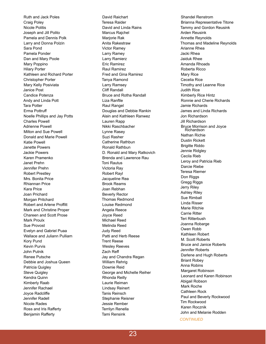Ruth and Jack Poles Craig Poley Nicole Politis Joseph and Jill Polito Pamela and Dennis Polk Larry and Donna Polzin Sara Pond Pamela Ponder Dan and Mary Poole Mary Poppino Hilary Porter Kathleen and Richard Porter Christopher Porter Mary Kelly Posiviata Janice Post Candice Potenza Andy and Linda Pott Tara Potter Erma Pottru ff Noelle Phillips and Jay Potts Charles Powell Adrienne Powell Milton and Sue Powell Donald and Marie Powell Katie Powell Janette Powers Jackie Powers Karen Pramenko Janet Prehn Jennifer Prehn Robert Prestley Mrs. Bonita Price Rhiannan Price Kara Price Joan Prichard Morgan Pritchard Robert and Arlene Proffitt Mark and Christine Proper Chareen and Scott Prose Mark Proulx Sue Provost Evelyn and Gabriel Puaa Wallace and Juliann Pulliam Kory Pund Kevin Purvis John Putnik Renee Putsche Debbie and Joshua Queen Patricia Quigley Steve Quigley Kendra Quinn Kimberly Raab Jennifer Rachael Joyce Radcliffe Jennifer Radell Nicole Rades Ross and Iris Rafferty Benjamin Rafferty

David Raichart Teresa Raider David and Linda Rains Marcus Rajchel Marjorie Rak Anita Rakestraw Victor Ramey Larry Ramey Larry Ramierz Eric Ramirez Raul Ramirez Fred and Gina Ramirez Tanya Ramond Larry Ramsey Cli ff Randall Bruce and Rotha Randall Liza Ranftle Raul Rangel Douglas and Debbie Rankin Alain and Kathleen Ranwez Lauren Rapp Nikki Raschbacher Lynne Rasey Suzi Rasher Catherine Rathbun Ronald Rathbun D. Ronald and Mary Ratkovich Brenda and Lawrence Rau Toni Rautus Victoria Ray Robert Rayl Jacqueline Rea Brook Reams Joan Rebhan Beverly Rector Thomas Redmond Louise Redmond Angela Reece Joyce Reed Michael Reed Melinda Reed Judy Reed Patti and Herb Reese Trent Reese Wesley Reeves Zach Re ff Jay and Chandra Regan William Rehrig Downie Reid George and Michelle Reiher Rhonda Reilly Laurie Reiman Lindsay Reinert Tanis Reinsch Stephanie Reisner Jessie Rember Terrilyn Renella Tami Rensink

Shandel Renstrom Brianna Representative Titone Tammy and Gordon Reusink Arden Reusink Annette Reynolds Thomas and Madeline Reynolds Arianne Rhea Jacki Rhea Jaiduk Rhee Amanda Rhoads Roberta Ricco Mary Rice Cecelia Rice Timothy and Leanne Rice Judith Rice Kimberly Rice Hintz Ronnie and Cherie Richards Jamie Richards James and Linda Richards Jon Richardson Jill Richardson Bruce Morrison and Joyce Richardson Nathan Richie Dustin Rickett Brigitte Riddo Jennie Ridgley Cecila Rieb Leroy and Patricia Rieb Darcie Riebe Teresa Riemer Don Riggs Gregg Riggs Jerry Riley Ashley Riley Sue Rimball Linda Risser Marie Ritchie Carrie Ritter Teri Ritterbush Joanna Robarge Owen Robb Kathleen Robert M. Scott Roberts Bruce and Janice Roberts Jennifer Roberts Darlene and Hugh Roberts Briant Robey Anna Robins Margaret Robinson Leonard and Karen Robinson Abigail Robson Mark Roche Cathleen Rock Paul and Beverly Rockwood Tim Rockwood Karen Rocznik John and Melanie Rodden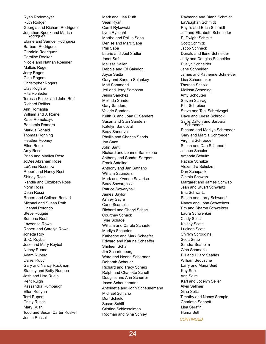Ryan Rodemoyer Ruth Rodger Georgia and Richard Rodriguez Jonathan Speek and Marisa Rodriguez Elaine and Samuel Rodriguez Barbara Rodriguez Gabriela Rodriguez Caroline Roeker Nicole and Nathan Roesner Maltais Roger Jerry Roger Gina Rogers Christopher Rogers Clay Rogister Rita Rohleder Teressa Palizzi and John Rolf Richard Rollins Ann Romaglia William and J. Rome Katie Romelczyk Benjamin Romero Markus Ronald Thomas Ronning Heather Rooney Ellen Roop Amy Rose Brian and Marilyn Rose JoDee Abraham Rose LeAnna Rosenow Robert and Nancy Rosi Shirley Ross Randle and Elizabeth Ross Norm Ross Dean Rossi Robert and Colleen Rostad Michael and Susan Roth Chantal Rotondo Steve Rougier Sumona Routh Lawrence Rowe Robert and Carolyn Rowe Jonetta Roy S. C. Roybal Jose and Mary Roybal Nancy Ruane Adam Ruberg Darrel Ruby Gary and Nancy Ruckman Stanley and Betty Rudeen Josh and Lisa Rudin Kent Ruigh Kassandra Rumbaugh Ellen Runyan Terri Rupert Cristy Rusch Mary Rush Todd and Susan Carter Ruskell Judith Russell

Mark and Lisa Ruth Sean Ryan Camil Rykowski Lynn Rysdahl Martha and Phillip Saba Denise and Marc Saba Phil Saba Laurie and Joel Sadler Janet Saft Melissa Sailer Debbie and Ed Saindon Joyce Saitta Gary and Sandra Salankey Matt Sammond Jeri and Jerry Sampson Jesus Sanchez Melinda Sander Gary Sanders Valerie Sanders Keith B. and Joan E. Sanders Susan and Stan Sanders Katelyn Sandoval Beav Sandoval Phyllis and Charles Sands Jon Sanft John Santi Richard and Leanne Sanzolone Anthony and Sandra Sargent Frank Satalino Anthony and Jan Satriano William Saunders Mark and Yvonne Savarise Beav Sawargnslv Patrice Sawarynski James Saylor Ashley Sayre Carlo Scarsella Richard and Cheryl Schack Courtney Schack Tyler Schade William and Carole Schaefer Marilyn Schaefer Katherine and Mark Schaefer Edward and Katrina Schaeffer Shirleen Schaff Jim Scharfenberg Ward and Neena Scharmer Deborah Schauer Richard and Tracy Scheig Ralph and Charlotte Schell Douglas and Ann Scherrer Jason Scheunemann Antoinette and John Scheunemann Michael Schiano Don Schield Susan Schiff Cristina Schlesselman Rodman and Gina Schley

Raymond and Diann Schmidt LaVaughan Schmidt Phyllis and Erich Schmidt Jeff and Elizabeth Schmieder E. Dwight Schmitt Scott Schmitz Jacob Schneck Donald and Ilene Schneider Judy and Douglas Schneider Evelyn Schneider Jane Schneider James and Katherine Schneider Lisa Schoemaker Theresa Scholz Melissa Schoning Amy Schouten Steven Schrag Kim Schreiber Steve and Toni Schreivogel Dave and Leesa Schrock Sallie Dalton and Barbara Schroeder Richard and Marilyn Schroeder Gary and Marcia Schroeder Virginia Schroeder Susan and Dan Schubert Joshua Schuler Amanda Schultz Patrice Schulze Alexandra Schulze Dan Schupack Cinthia Schwab Margaret and James Schwab Jean and Stuart Schwartz Eric Schwartz Susan and Larry Schwarz\* Nancy and John Schweitzer Tim and Sharon Schweitzer Laura Schwenker Cindy Scott Kelsey Scott Lucinda Scott Chirlyn Scroggins Scott Seab Sandra Seaholm Gina Seamans Bill and Hilary Searles William Sedustine Larry and Maria Seid Kay Seiler Ann Seim Karl and Jocelyn Seller Alvin Sellmer Gina Seltz Timothy and Nancy Semple Charlotte Sennett Lisa Serafini Huma Seth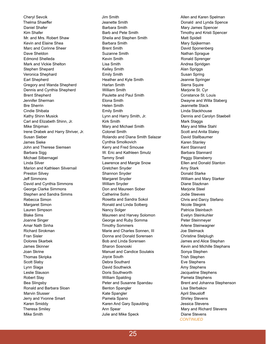Cheryl Sevcik **Thelma Shaeffer** Daniel Shafer Kim Shafer Mr. and Mrs. Robert Shaw Kevin and Elaine Shea Marc and Corinne Sheer Dave Sheldon Edmond Shelleda Mark and Vickie Shelton Stephen Shepard Veronica Shephard Earl Shepherd Gregory and Wanda Shepherd Dennis and Cynthia Shepherd Brent Shepherd Jennifer Sherman Bre Sherrin Cindie Shibata Kathy Shinn Musick Carl and Elizabeth Shinn, Jr. Mike Shipman Irene Drabek and Harry Shriver, Jr. Susan Sieber James Sieke John and Therese Siemsen Barbara Sigg Michael Silbernagel Linda Silver Marion and Kathleen Silvernail Preston Silvey Jeff Simmons David and Cynthia Simmons George Clarke Simmons Stephen and Sandra Simms Rebecca Simon Margaret Simon Lauren Simpson Blake Sims Joanne Singer Amar Nath Sinha Richard Sirokman Fran Sisler Dolores Skarbek James Skinner Joan Skrine Thomas Skripka Scott Slaby Lynn Slaga Leslie Slauson Robert Slay Bea Slingsby Ronald and Barbara Sloan Marvin Slusser Jerry and Yvonne Smart Karen Smiddy Theresa Smiley Mike Smith

Jim Smith Jeanette Smith Barbara Smith Barb and Pete Smith Sheila and Stephen Smith Barbara Smith Brent Smith Suzanne Smith Kevin Smith Lisa Smith Kelley Smith Emily Smith Heather and Kyle Smith Harlan Smith William Smith Paulette and Paul Smith Elona Smith Helen Smith Emily Smith Lynn and Harry Smith, Jr. Kirk Smith Mary and Michael Smith Colonel Smith Rolando and Diana Smith Salazar Cynthia Smolkovich Kerry and Fred Smouse W. Eric and Kathleen Smutz Tammy Snell Lawrence and Margie Snow Gretchen Snyder Shannon Snyder Margaret Snyder William Snyder Don and Maureen Sober Catherine Sohn Rosetta and Sandra Sokol Ronald and Linda Solberg Nancy Solger Maureen and Harvey Solomon George and Ruby Somma Timothy Sommers Marie and Charles Sonnen, III Donna and Donald Sorensen Bob and Linda Sorensen Sharon Sosnoski Manuel and Candice Soulakis Joyce South Debra Southard David Southwick Doris Southworth William Spalding Peter and Susanne Spandau Benton Spangler Kate Spangler Pamela Spano Karen And Gary Spaulding Ann Spear Julie and Mike Speck

Allen and Karen Spelman Donald and Lynda Spence Mary James Spencer Timothy and Kristi Spencer Matt Spidell Mary Spijkerman David Sponenberg Nathan Sprague Ronald Sprenger Andrea Spridgen Alan Spriggs Susan Spring Jeannie Springer Sierra Squire Marjorie St. Cyr Constance St. Louis Dwayne and Willa Staberg Jeannette Stack Linda Stackhouse Dennis and Carolyn Staebell Mark Staggs Mary and Mike Stahl Scott and Anita Staley David Stallbaumer Karen Stanley Kent Stannard Barbara Stannard Peggy Stansberry Ellen and Donald Stanton Amy Stark Donald Starke William and Mary Starker Diane Stazknan Marjorie Steel Jodie Steeves Chris and Darcy Stefano Nicole Stegink Patricia Steinbach Evelyn Steinkuhler Peter Steinmeyer Arlene Steinwagner Joe Stelmack Christine Stelplugh James and Alice Stephan Kevin and Michille Stephans Sonya Stephen Trish Stephen Eve Stephens Amy Stephens Jacqueline Stephens Pamela Stephens Brent and Johanna Stephenson Lisa Sterbakov April Steusloff Shirley Stevens Jessica Stevens Mary and Richard Stevens Diane Stevens *CONTINUED*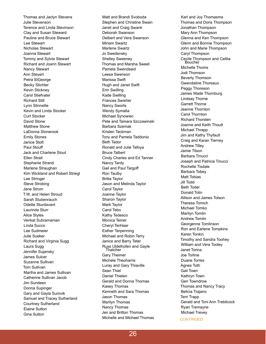Thomas and Jaclyn Stevens Julie Stevenson Terence and Linda Stevinson Clay and Susan Steward Pauline and Bruce Stewart Lee Stewart Nicholas Stewart Joanna Stewart Tommy and Sylvia Stewart Richard and Joann Stewart Nancy Stewart Ann Steyert Petra StGeorge Becky Stichter Kevin Stickney Carol Stiefvater Richard Still Lynn Stinnette Kevin and Linda Stocker Curt Stocker David Stone Matthew Stone LaDonna Stonerook Emily Stones Janice Stott Paul Stou ff Jack and Charlene Stout Ellen Strait Stephanie Strand Marlene Straughan Kim Wickland and Robert Striegl Lee Stringer Steve Strobing Jane Strom T.W. and Helen Stroud Sarah Stubenrauch Odette Sturdavant Laurinda Sturr Alice Styles Venkat Subramanian Linda Succo Lee Sudmeier Julie Sueker Richard and Virginia Sugg Laura Sugg Jennifer Sujansky James Sulcer Suzanne Sullivan Tom Sullivan Martha and James Sullivan Catherine Sullivan Jacob Jim Sundeen Donna Supinger Gary and Gayla Surovik Samuel and Tracey Sutherland Courtney Sutherland Elaine Sutton Gina Sutton

Matt and Brandi Svoboda Stephen and Christine Swain Janet and Craig Swank Deborah Swanson Delbert and Vera Swanson Miriam Swartz Marlene Swartz Jo Swedensky Shelley Sweeney Thomas and Marsha Sweet Pamela Swendseid Leesa Swenson Marissa Swift Hugh and Janet Swift Erin Swilling Kade Swilling Frances Swisher Nancy Sworts Wendy Symalla Michael Synowiec Pete and Tamara Szczawinski Barbara Szemak Kristen Tackman Tony and Pamela Taddonio Beth Tador Ronald and Julie Tafoya Bruce Talbert Cindy Charles and Ed Tanner Nancy Tardy Gail and Paul Targo ff Ron Taulby Britta Taylor Jason and Melinda Taylor Carol Taylor Joanne Taylor Sharon Taylor Mark Taylor Carol Tebo Kathy Tedesco Monica Teiner Cheryl TerHaar Esther Terpenning Michael and Robin Terry Janice and Barry Teter Russ Uldelhofen and Gayle **Thatcher** Gary Theimer Michele Theoharris Luray and Gary Thiaville Sean Thiel Daniel Thielen Gerald and Donna Thomas Kasey Thomas Kenneth and Sara Thomas Jason Thomas Marilyn Thomas Nancy Thomas Jen and Britton Thomas Michelle and Michael Thomas

Karl and Joy Thomasma Thomas and Doris Thompson Jonathan Thompson Mary Ann Thompson Glenna and Ken Thompson Glenn and Bonnie Thompson John and Marie Thompson Caryl Thompson Cecile Thompson and Celilia Boucher Michelle Thoms Jodi Thomson Beverly Thomson Gwendaline Thoreaux Peggy Thoreson James Wade Thornburg Lindsay Thorne Garrett Thorne Jeanne Thornton Carol Thornton Richard Thorsten Joanne and Keith Thoutt Michael Thrapp Jim and Kathy Thyfault Craig and Karan Tierney Andrew Tilley Jamie Tilson Barbara Tinucci Joseph and Patricia Tinucci Rochelle Tisdale Barbara Tobey Matt Tobias Jill Todd Beth Toder Donald Tolin Allison and James Tolson Theresa Tomich Michael Tomko Marilyn Tomlin Andrew Tomlin Georgenne Tomlinson Ron and Earlene Tompkins Karen Tonkin Timothy and Sandra Toohey William and Vera Tooley Janet Torina Joe Torline Duane Torres Agnes Toth Gail Town Kathryn Town Geri Towndrow Thomas and Nancy Tracy Belicia Trajano Terri Trapp Gerald and Toni Ann Trebilcock Ryan Tremayne Michael Trevey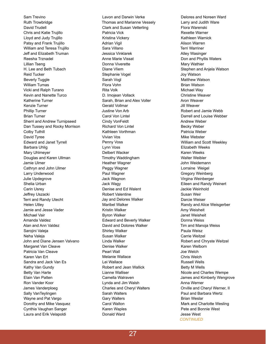Sam Trevino Ruth Trowbridge David Trudell Chris and Katie Trujillo Lloyd and Judy Trujillo Patsy and Frank Trujillo William and Teresa Trujillo Jeff and Elizabeth Truman Reesha Trznadel Lillian Tseng H. Lee and Beth Tubach Reid Tucker Beverly Tuggle William Tumas Vicki and Ralph Turano Kevin and Nanette Turco Katherine Turner Kenzie Turner Phillip Turner Brian Turner Sherri and Andrew Turnipseed Dan Tussey and Rocky Morrison Colby Tuthill David Tyree Edward and Janet Tyrrell Barbara Uhlig Mary Uhlmeyer Douglas and Karen Ullman Jamie Ulmer Cathryn and John Ulmer Larry Underwood Julie Updegrove Shelia Urban Carin Usrey Jeffrey Uszacki Terri and Randy Utecht Helen Utley Jamie and Jesse Vader Michael Vair Amanda Valdez Alan and Ann Valdez Sarojini Valeja Neha Valeja John and Diane Jensen Valvano Margaret Van Cleave Patricia Van Cleave Karen Van Ert Sandra and Jack Van Es Kathy Van Gundy Betty Van Harte Elain Van Patten Ron Vander Koor James Vanderploeg Sally VanTeylingen Wayne and Pat Vargo Dorothy and Mike Vasquez Cynthia Vaughan Sanger Laura and Erik Velapoldi

Lavon and Darwin Verke Thomas and Marianne Vessely Clark and Susan Vetterling Patricia Vick Kristina Vickery Adrian Vigil Sara Villano Jessica Vinklarek Anne Marie Vissat Donna Viverette Diane Vliem Stephanie Vogel Sarah Vogl Flora Vohn Rita Volk D. Imojean Vollack Sarah, Brian and Alex Voller Gerald Vollmar Justine Von Arb Carol Von Lintel Cindy VonFeldt Richard Von Lintel Kathleen Vorthman Vivian Vos Penny Voss Lynn Voss Delbert Wacker Timothy Waddingham Heather Wagner Peggy Wagner Paul Wagner Jack Wagnon Jack Wagy Denise and Ed Walent Robert Valentine Jay and Delores Walker Maribel Walker Kristin Walker Byron Walker Edward and Beverly Walker David and Dolores Walker Shirley Walker Susan Walker Linda Walker Denise Walker Pearl Wall Melanie Wallace Lei Wallace Robert and Jean Wallick Lianne Walliser Camella Walraven Lynda and Jim Walsh Charles and Cheryl Walters Sarah Walters Gary Walters Carol Walton Karen Waples Donald Ward

Delores and Noreen Ward Larry and Judith Ware Flora Warenski Rexette Warner Kathleen Warnick Alison Warren Terri Warriner Alley Wasinger Don and Phyllis Waters Mary Wathier Stephen and Anjela Watson Joy Watson Matthew Watson Brian Watson Michael Way Christine Weaver Aron Weaver Jill Weaver Robert and Jamie Webb Darrell and Louise Webber Andrew Weber Becky Weber Patricia Weber Mike Webster William and Scott Weekley Elizabeth Weeks Karen Weeks Walter Weibler John Weidemann Lorraine Weigel Gregory Weinberg Virgina Weinberger Eileen and Randy Weinert Jackie Weinhold Susan Weir Darcie Weiser Randy and Alice Weisgerber Amy Weisheit Janet Weisheit Donna Weiss Tim and Manoja Weiss Paula Weisz Carrie Weitzel Robert and Chryste Weitzel Karen Welborn Joe Welch Chris Welch Russell Wells Betty M Wells Nicole and Charles Wempe James and Kimberly Wengrove Anna Werner Orville and Cheryl Werner, II Paul and Barbara Wertz Brian Weslar Mark and Charlotte Wesling Pete and Bonnie West Jesse West *CONTINUED*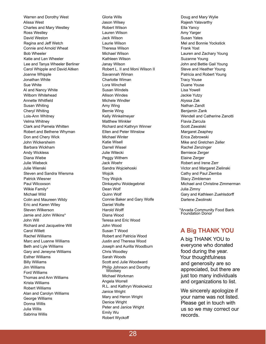Warren and Dorothy West Alissa West Charles and Mary Westley Ross Westley David Weston Regina and Jeff Wetch Connie and Arnold Wheat Bob Wheeler Katie and Len Wheeler Lee and Tanya Wheeler Berliner Carol Whipple and David Aitken Joanne Whipple Jonathan White Sue White Al and Nancy White Wilborn Whitehead Annette Whitfield Susan Whiting Cheryl Whiting Lois-Ann Whitney Velma Whitney Clark and Pamela Whitten Robert and Bethene Whyman Don and Chery Wick John Wickersheim Barbara Wickham Andy Wickless Diana Wiebe Julie Wiebeck Julie Wienski Steven and Sandra Wiersma Patrick Wiesner Paul Wilcoxson Wilkie Family\* Michael Wild Colin and Maureen Wildy Eric and Karen Wiley Steven Wilkerson Jamie and John Wilkins\* John Will Richard and Jacqueline Will Carol Willett Rachel Williams Marc and Luanne Williams Beth and Lyle Williams Gary and Jeneyne Williams Esther Williams Billy Williams Jim Williams Ford Williams Thomas and Ann Williams Krista Williams Robert Williams Alan and Carolyn Williams George Williams Donna Willis Julia Willis Sabrina Willis

Gloria Wills Jason Wilsey Robert Wilson Lauren Wilson Jack Wilson Laurie Wilson Theresa Wilson Michael Wilson Kathleen Wilson Janay Wilson Robert L. II and Moni Wilson II Savannah Wiman Charlotte Wiman Lora Winchell Susan Windels Allison Windes Michele Windler Amy Wing Bernie Wing Kelly Winkelmeyer Matthew Winkler Richard and Kathryn Winner Ellen and Peter Winslow Michael Winter Katie Wisell Darrell Wissel Julie Witecki Peggy Withem Jack Woehr Sandra Wojciehoski Wojcik Troy Wojick Dinkayehu Woldegebriel Dean Wolf Quinn Wolf Connie Baker and Gary Wolfe Daniel Wolfe Harold Wolff Diana Wood Teresa and Eric Wood John Wood Susan T Wood Robert and Patricia Wood Justin and Theresa Wood Joseph and Aurilla Woodburn Chris Woodley Sarah Woods Scott and Julie Woodward Philip Johnson and Dorothy Woolsey Michael Workman Angela Worrell R.L. and Kathryn Woskowicz Janice Wright Mary and Heron Wright Denice Wright Peter and Janice Wright Emily Wu Robert Wyckoff

Doug and Mary Wylie Rajesh Yalavarthy Ella Yancy Amy Yarger Susan Yates Mel and Bonnie Yockstick Frank Yost Lauren and Zachary Young Suzanne Young John and Bettie Gail Young Steve and Heather Young Patricia and Robert Young Tracy Youse Duane Youse Lisa Yowell Jackie Yutzy Alyssa Zak Nathan Zandt Benjamin Zank Wendell and Catherine Zanotti Flavia Zarcula Scott Zawalski Margaret Zeaphey Erica Zebrowski Mike and Gretchen Zeller Rachel Zenzinger Berniece Zerger Elaine Zerger Robert and Irene Zerr Victor and Margaret Zielinski Cathy and Paul Ziemba Stacy Zimbleman Michael and Christine Zimmerman Julia Zimny Gary and Kathleen Zuehlsdorff Darlene Zwolinski

\*Arvada Community Food Bank Foundation Donor

### **A Big THANK YOU**

A big THANK YOU to everyone who donated food during the year. Your thoughtfulness and generosity are so appreciated, but there are just too many individuals and organizations to list.

We sincerely apologize if your name was not listed. Please get in touch with us so we may correct our records.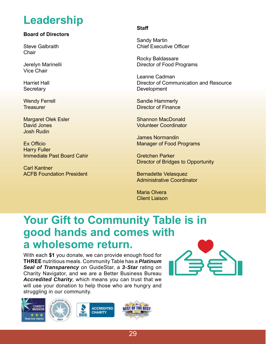# **Leadership**

### **Board of Directors**

Steve Galbraith **Chair** 

Jerelyn Marinelli Vice Chair

Harriet Hall **Secretary** 

Wendy Ferrell **Treasurer** 

Margaret Olek Esler David Jones Josh Rudin

Ex Officio Harry Fuller Immediate Past Board Cahir

Carl Kantner ACFB Foundation President

#### **Staff**

Sandy Martin Chief Executive Officer

Rocky Baldassare Director of Food Programs

Leanne Cadman Director of Communication and Resource Development

Sandie Hammerly Director of Finance

Shannon MacDonald Volunteer Coordinator

James Normandin Manager of Food Programs

Gretchen Parker Director of Bridges to Opportunity

Bernadette Velasquez Administrative Coordinator

Maria Olvera Client Liaison

### **Your Gift to Community Table is in good hands and comes with a wholesome return.**

With each **\$1** you donate, we can provide enough food for **THREE** nutritious meals. Community Table has a *Platinum Seal of Transparency* on GuideStar, a *3-Star* rating on Charity Navigator, and we are a Better Business Bureau *Accredited Charity*, which means you can trust that we will use your donation to help those who are hungry and struggling in our community.